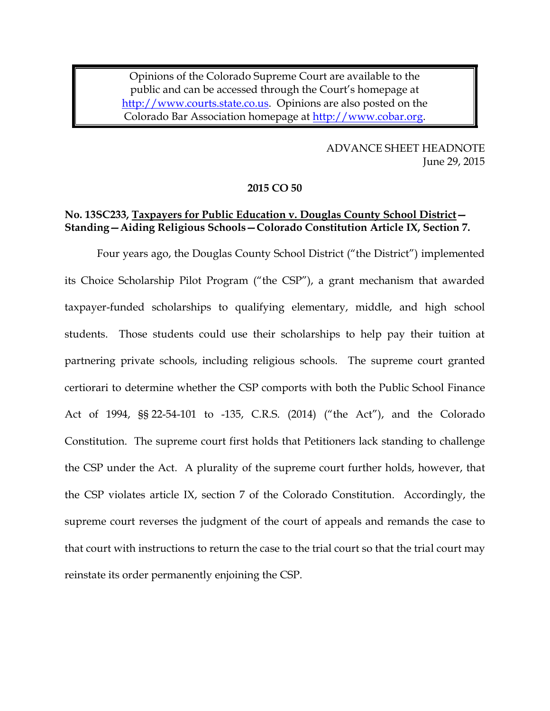Opinions of the Colorado Supreme Court are available to the public and can be accessed through the Court's homepage at [http://www.courts.state.co.us.](http://www.courts.state.co.us/) Opinions are also posted on the Colorado Bar Association homepage at [http://www.cobar.org.](http://www.cobar.org/)

> ADVANCE SHEET HEADNOTE June 29, 2015

#### **2015 CO 50**

# **No. 13SC233, Taxpayers for Public Education v. Douglas County School District— Standing—Aiding Religious Schools—Colorado Constitution Article IX, Section 7.**

Four years ago, the Douglas County School District ("the District") implemented its Choice Scholarship Pilot Program ("the CSP"), a grant mechanism that awarded taxpayer-funded scholarships to qualifying elementary, middle, and high school students. Those students could use their scholarships to help pay their tuition at partnering private schools, including religious schools. The supreme court granted certiorari to determine whether the CSP comports with both the Public School Finance Act of 1994, §§ 22-54-101 to -135, C.R.S. (2014) ("the Act"), and the Colorado Constitution. The supreme court first holds that Petitioners lack standing to challenge the CSP under the Act. A plurality of the supreme court further holds, however, that the CSP violates article IX, section 7 of the Colorado Constitution. Accordingly, the supreme court reverses the judgment of the court of appeals and remands the case to that court with instructions to return the case to the trial court so that the trial court may reinstate its order permanently enjoining the CSP.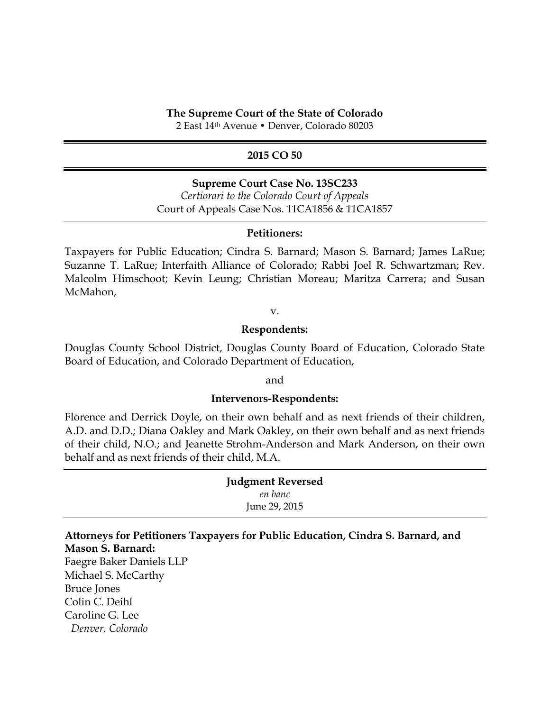### **The Supreme Court of the State of Colorado**

2 East 14th Avenue • Denver, Colorado 80203

### **2015 CO 50**

### **Supreme Court Case No. 13SC233**

*Certiorari to the Colorado Court of Appeals* Court of Appeals Case Nos. 11CA1856 & 11CA1857

#### **Petitioners:**

Taxpayers for Public Education; Cindra S. Barnard; Mason S. Barnard; James LaRue; Suzanne T. LaRue; Interfaith Alliance of Colorado; Rabbi Joel R. Schwartzman; Rev. Malcolm Himschoot; Kevin Leung; Christian Moreau; Maritza Carrera; and Susan McMahon,

v.

### **Respondents:**

Douglas County School District, Douglas County Board of Education, Colorado State Board of Education, and Colorado Department of Education,

and

### **Intervenors-Respondents:**

Florence and Derrick Doyle, on their own behalf and as next friends of their children, A.D. and D.D.; Diana Oakley and Mark Oakley, on their own behalf and as next friends of their child, N.O.; and Jeanette Strohm-Anderson and Mark Anderson, on their own behalf and as next friends of their child, M.A.

| <b>Judgment Reversed</b> |
|--------------------------|
| en banc                  |
| June 29, 2015            |

# **Attorneys for Petitioners Taxpayers for Public Education, Cindra S. Barnard, and Mason S. Barnard:**

Faegre Baker Daniels LLP Michael S. McCarthy Bruce Jones Colin C. Deihl Caroline G. Lee *Denver, Colorado*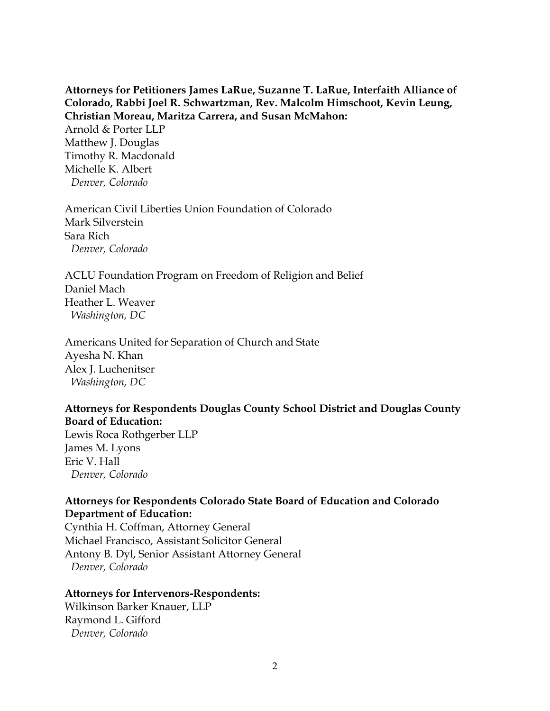**Attorneys for Petitioners James LaRue, Suzanne T. LaRue, Interfaith Alliance of Colorado, Rabbi Joel R. Schwartzman, Rev. Malcolm Himschoot, Kevin Leung, Christian Moreau, Maritza Carrera, and Susan McMahon:**

Arnold & Porter LLP Matthew J. Douglas Timothy R. Macdonald Michelle K. Albert *Denver, Colorado*

American Civil Liberties Union Foundation of Colorado Mark Silverstein Sara Rich *Denver, Colorado*

ACLU Foundation Program on Freedom of Religion and Belief Daniel Mach Heather L. Weaver *Washington, DC*

Americans United for Separation of Church and State Ayesha N. Khan Alex J. Luchenitser *Washington, DC*

# **Attorneys for Respondents Douglas County School District and Douglas County Board of Education:**

Lewis Roca Rothgerber LLP James M. Lyons Eric V. Hall *Denver, Colorado*

# **Attorneys for Respondents Colorado State Board of Education and Colorado Department of Education:**

Cynthia H. Coffman, Attorney General Michael Francisco, Assistant Solicitor General Antony B. Dyl, Senior Assistant Attorney General *Denver, Colorado*

# **Attorneys for Intervenors-Respondents:**

Wilkinson Barker Knauer, LLP Raymond L. Gifford *Denver, Colorado*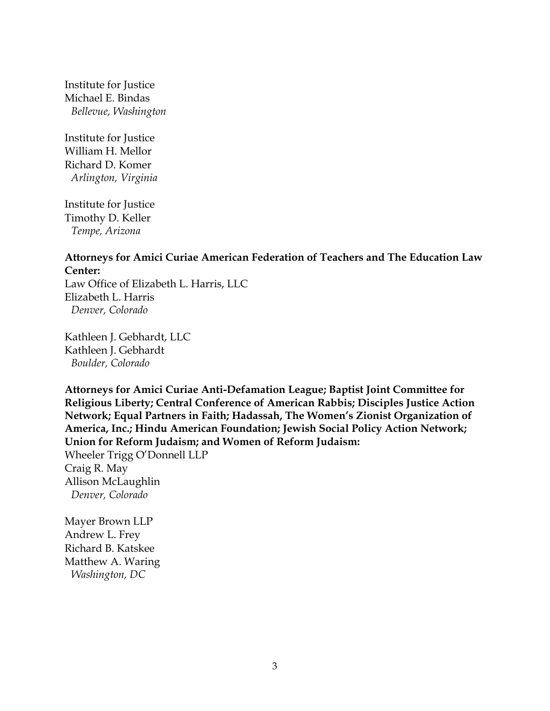Institute for Justice Michael E. Bindas *Bellevue, Washington*

Institute for Justice William H. Mellor Richard D. Komer *Arlington, Virginia*

Institute for Justice Timothy D. Keller *Tempe, Arizona*

# **Attorneys for Amici Curiae American Federation of Teachers and The Education Law Center:**

Law Office of Elizabeth L. Harris, LLC Elizabeth L. Harris *Denver, Colorado*

Kathleen J. Gebhardt, LLC Kathleen J. Gebhardt *Boulder, Colorado*

**Attorneys for Amici Curiae Anti-Defamation League; Baptist Joint Committee for Religious Liberty; Central Conference of American Rabbis; Disciples Justice Action Network; Equal Partners in Faith; Hadassah, The Women's Zionist Organization of America, Inc.; Hindu American Foundation; Jewish Social Policy Action Network; Union for Reform Judaism; and Women of Reform Judaism:**

Wheeler Trigg O'Donnell LLP Craig R. May Allison McLaughlin *Denver, Colorado*

Mayer Brown LLP Andrew L. Frey Richard B. Katskee Matthew A. Waring *Washington, DC*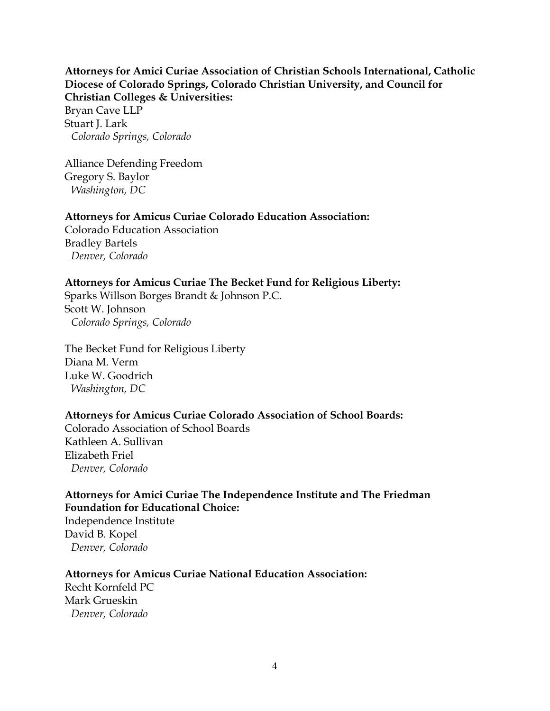# **Attorneys for Amici Curiae Association of Christian Schools International, Catholic Diocese of Colorado Springs, Colorado Christian University, and Council for Christian Colleges & Universities:**

Bryan Cave LLP Stuart J. Lark *Colorado Springs, Colorado*

Alliance Defending Freedom Gregory S. Baylor *Washington, DC*

# **Attorneys for Amicus Curiae Colorado Education Association:**

Colorado Education Association Bradley Bartels *Denver, Colorado*

# **Attorneys for Amicus Curiae The Becket Fund for Religious Liberty:**

Sparks Willson Borges Brandt & Johnson P.C. Scott W. Johnson *Colorado Springs, Colorado*

The Becket Fund for Religious Liberty Diana M. Verm Luke W. Goodrich *Washington, DC*

# **Attorneys for Amicus Curiae Colorado Association of School Boards:**

Colorado Association of School Boards Kathleen A. Sullivan Elizabeth Friel *Denver, Colorado*

# **Attorneys for Amici Curiae The Independence Institute and The Friedman Foundation for Educational Choice:**

Independence Institute David B. Kopel *Denver, Colorado*

# **Attorneys for Amicus Curiae National Education Association:**

Recht Kornfeld PC Mark Grueskin *Denver, Colorado*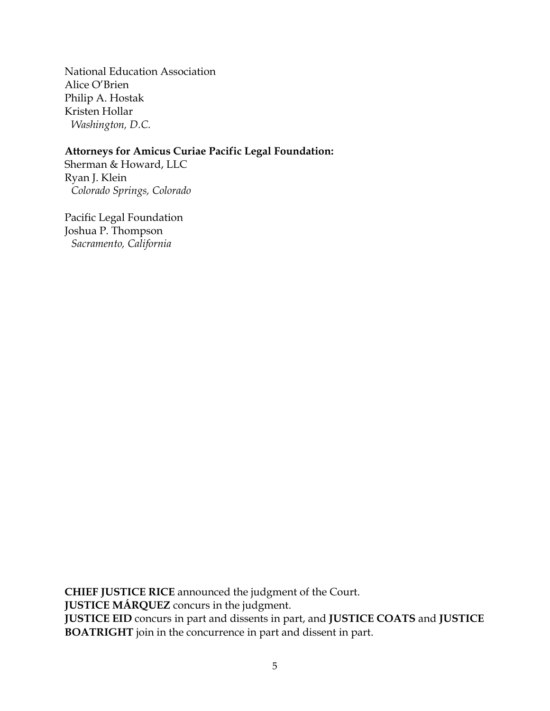National Education Association Alice O'Brien Philip A. Hostak Kristen Hollar *Washington, D.C.*

# **Attorneys for Amicus Curiae Pacific Legal Foundation:**

Sherman & Howard, LLC Ryan J. Klein *Colorado Springs, Colorado*

Pacific Legal Foundation Joshua P. Thompson *Sacramento, California*

**CHIEF JUSTICE RICE** announced the judgment of the Court. **JUSTICE MÁRQUEZ** concurs in the judgment. **JUSTICE EID** concurs in part and dissents in part, and **JUSTICE COATS** and **JUSTICE BOATRIGHT** join in the concurrence in part and dissent in part.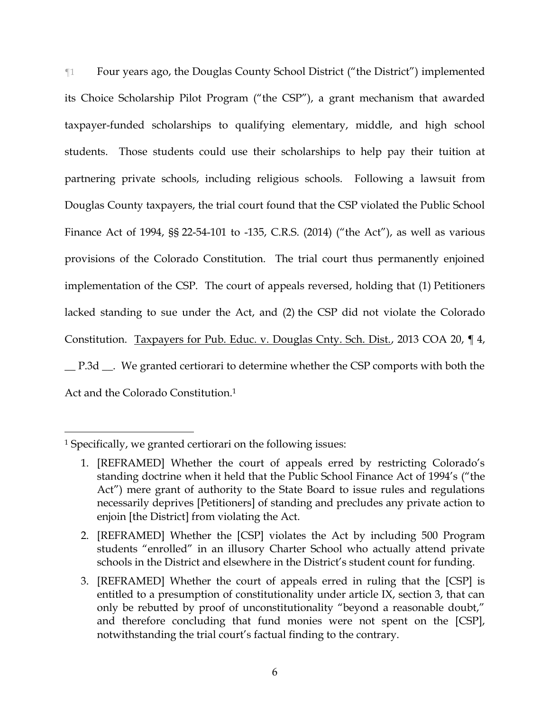¶1 Four years ago, the Douglas County School District ("the District") implemented its Choice Scholarship Pilot Program ("the CSP"), a grant mechanism that awarded taxpayer-funded scholarships to qualifying elementary, middle, and high school students. Those students could use their scholarships to help pay their tuition at partnering private schools, including religious schools. Following a lawsuit from Douglas County taxpayers, the trial court found that the CSP violated the Public School Finance Act of 1994, §§ 22-54-101 to -135, C.R.S. (2014) ("the Act"), as well as various provisions of the Colorado Constitution. The trial court thus permanently enjoined implementation of the CSP. The court of appeals reversed, holding that (1) Petitioners lacked standing to sue under the Act, and (2) the CSP did not violate the Colorado Constitution. Taxpayers for Pub. Educ. v. Douglas Cnty. Sch. Dist., 2013 COA 20, 14, \_\_ P.3d \_\_. We granted certiorari to determine whether the CSP comports with both the

<span id="page-6-0"></span>Act and the Colorado Constitution.<sup>1</sup>

<sup>1</sup> Specifically, we granted certiorari on the following issues:

<sup>1.</sup> [REFRAMED] Whether the court of appeals erred by restricting Colorado's standing doctrine when it held that the Public School Finance Act of 1994's ("the Act") mere grant of authority to the State Board to issue rules and regulations necessarily deprives [Petitioners] of standing and precludes any private action to enjoin [the District] from violating the Act.

<sup>2.</sup> [REFRAMED] Whether the [CSP] violates the Act by including 500 Program students "enrolled" in an illusory Charter School who actually attend private schools in the District and elsewhere in the District's student count for funding.

<sup>3.</sup> [REFRAMED] Whether the court of appeals erred in ruling that the [CSP] is entitled to a presumption of constitutionality under article IX, section 3, that can only be rebutted by proof of unconstitutionality "beyond a reasonable doubt," and therefore concluding that fund monies were not spent on the [CSP], notwithstanding the trial court's factual finding to the contrary.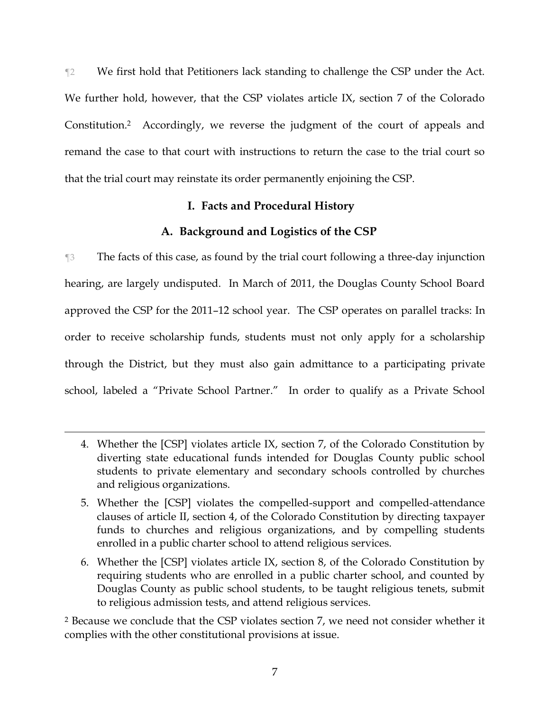¶2 We first hold that Petitioners lack standing to challenge the CSP under the Act. We further hold, however, that the CSP violates article IX, section 7 of the Colorado Constitution.2 Accordingly, we reverse the judgment of the court of appeals and remand the case to that court with instructions to return the case to the trial court so that the trial court may reinstate its order permanently enjoining the CSP.

# **I. Facts and Procedural History**

# **A. Background and Logistics of the CSP**

¶3 The facts of this case, as found by the trial court following a three-day injunction hearing, are largely undisputed. In March of 2011, the Douglas County School Board approved the CSP for the 2011–12 school year. The CSP operates on parallel tracks: In order to receive scholarship funds, students must not only apply for a scholarship through the District, but they must also gain admittance to a participating private school, labeled a "Private School Partner." In order to qualify as a Private School

 $\overline{a}$ 

<sup>2</sup> Because we conclude that the CSP violates section 7, we need not consider whether it complies with the other constitutional provisions at issue.

<sup>4.</sup> Whether the [CSP] violates article IX, section 7, of the Colorado Constitution by diverting state educational funds intended for Douglas County public school students to private elementary and secondary schools controlled by churches and religious organizations.

<sup>5.</sup> Whether the [CSP] violates the compelled-support and compelled-attendance clauses of article II, section 4, of the Colorado Constitution by directing taxpayer funds to churches and religious organizations, and by compelling students enrolled in a public charter school to attend religious services.

<sup>6.</sup> Whether the [CSP] violates article IX, section 8, of the Colorado Constitution by requiring students who are enrolled in a public charter school, and counted by Douglas County as public school students, to be taught religious tenets, submit to religious admission tests, and attend religious services.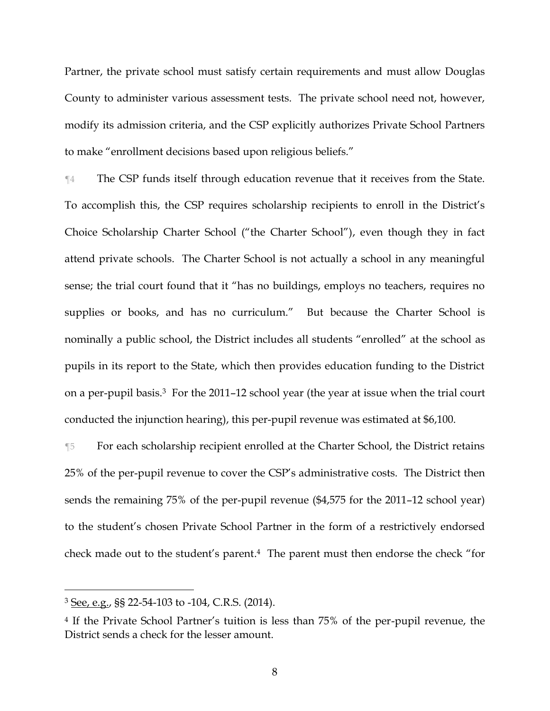Partner, the private school must satisfy certain requirements and must allow Douglas County to administer various assessment tests. The private school need not, however, modify its admission criteria, and the CSP explicitly authorizes Private School Partners to make "enrollment decisions based upon religious beliefs."

¶4 The CSP funds itself through education revenue that it receives from the State. To accomplish this, the CSP requires scholarship recipients to enroll in the District's Choice Scholarship Charter School ("the Charter School"), even though they in fact attend private schools. The Charter School is not actually a school in any meaningful sense; the trial court found that it "has no buildings, employs no teachers, requires no supplies or books, and has no curriculum." But because the Charter School is nominally a public school, the District includes all students "enrolled" at the school as pupils in its report to the State, which then provides education funding to the District on a per-pupil basis.3 For the 2011–12 school year (the year at issue when the trial court conducted the injunction hearing), this per-pupil revenue was estimated at \$6,100.

¶5 For each scholarship recipient enrolled at the Charter School, the District retains 25% of the per-pupil revenue to cover the CSP's administrative costs. The District then sends the remaining 75% of the per-pupil revenue (\$4,575 for the 2011–12 school year) to the student's chosen Private School Partner in the form of a restrictively endorsed check made out to the student's parent. <sup>4</sup> The parent must then endorse the check "for

<sup>3</sup> See, e.g., §§ 22-54-103 to -104, C.R.S. (2014).

<sup>4</sup> If the Private School Partner's tuition is less than 75% of the per-pupil revenue, the District sends a check for the lesser amount.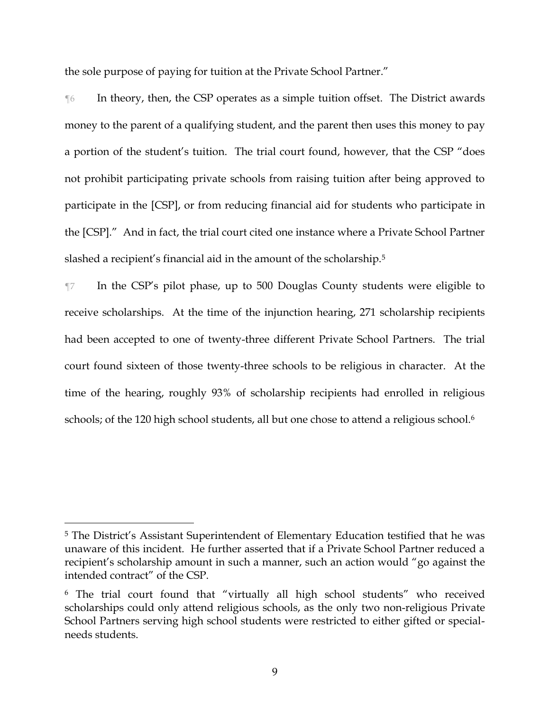the sole purpose of paying for tuition at the Private School Partner."

¶6 In theory, then, the CSP operates as a simple tuition offset. The District awards money to the parent of a qualifying student, and the parent then uses this money to pay a portion of the student's tuition. The trial court found, however, that the CSP "does not prohibit participating private schools from raising tuition after being approved to participate in the [CSP], or from reducing financial aid for students who participate in the [CSP]." And in fact, the trial court cited one instance where a Private School Partner slashed a recipient's financial aid in the amount of the scholarship.<sup>5</sup>

¶7 In the CSP's pilot phase, up to 500 Douglas County students were eligible to receive scholarships. At the time of the injunction hearing, 271 scholarship recipients had been accepted to one of twenty-three different Private School Partners. The trial court found sixteen of those twenty-three schools to be religious in character. At the time of the hearing, roughly 93% of scholarship recipients had enrolled in religious schools; of the 120 high school students, all but one chose to attend a religious school.<sup>6</sup>

<sup>5</sup> The District's Assistant Superintendent of Elementary Education testified that he was unaware of this incident. He further asserted that if a Private School Partner reduced a recipient's scholarship amount in such a manner, such an action would "go against the intended contract" of the CSP.

<sup>6</sup> The trial court found that "virtually all high school students" who received scholarships could only attend religious schools, as the only two non-religious Private School Partners serving high school students were restricted to either gifted or specialneeds students.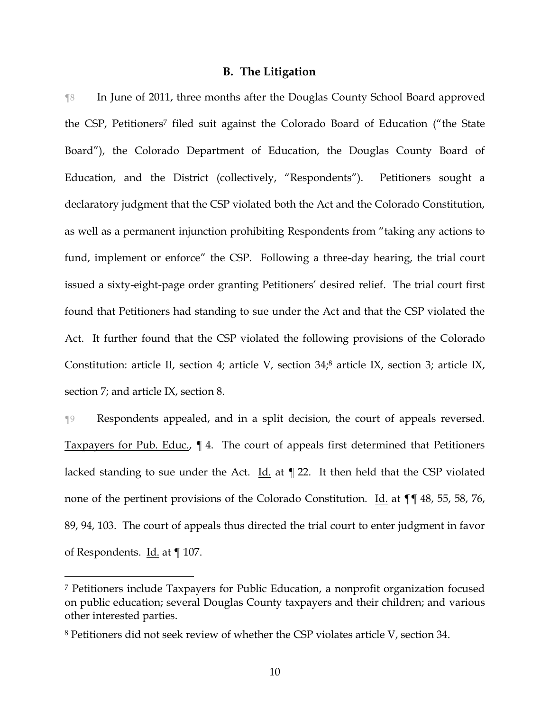#### **B. The Litigation**

¶8 In June of 2011, three months after the Douglas County School Board approved the CSP, Petitioners<sup>7</sup> filed suit against the Colorado Board of Education ("the State Board"), the Colorado Department of Education, the Douglas County Board of Education, and the District (collectively, "Respondents"). Petitioners sought a declaratory judgment that the CSP violated both the Act and the Colorado Constitution, as well as a permanent injunction prohibiting Respondents from "taking any actions to fund, implement or enforce" the CSP. Following a three-day hearing, the trial court issued a sixty-eight-page order granting Petitioners' desired relief. The trial court first found that Petitioners had standing to sue under the Act and that the CSP violated the Act. It further found that the CSP violated the following provisions of the Colorado Constitution: article II, section 4; article V, section 34;<sup>8</sup> article IX, section 3; article IX, section 7; and article IX, section 8.

¶9 Respondents appealed, and in a split decision, the court of appeals reversed. Taxpayers for Pub. Educ., ¶ 4. The court of appeals first determined that Petitioners lacked standing to sue under the Act. Id. at  $\P$  22. It then held that the CSP violated none of the pertinent provisions of the Colorado Constitution. Id. at  $\P\P$  48, 55, 58, 76, 89, 94, 103. The court of appeals thus directed the trial court to enter judgment in favor of Respondents. Id. at ¶ 107.

<sup>7</sup> Petitioners include Taxpayers for Public Education, a nonprofit organization focused on public education; several Douglas County taxpayers and their children; and various other interested parties.

<sup>8</sup> Petitioners did not seek review of whether the CSP violates article V, section 34.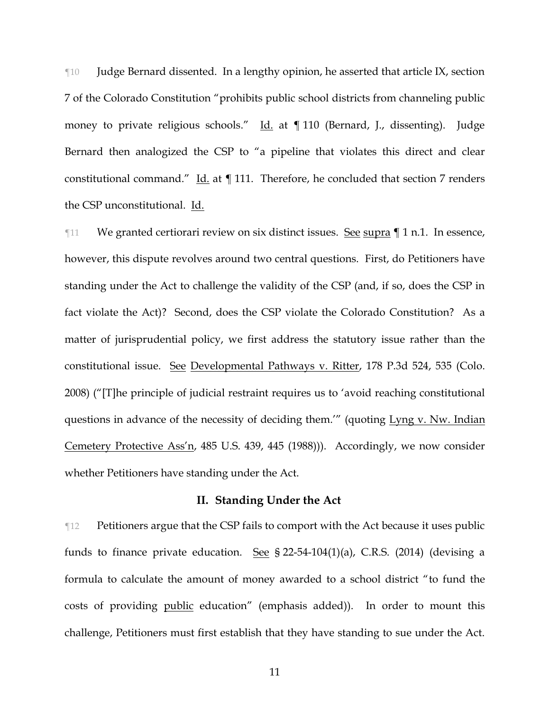¶10 Judge Bernard dissented. In a lengthy opinion, he asserted that article IX, section 7 of the Colorado Constitution "prohibits public school districts from channeling public money to private religious schools." Id. at ¶ 110 (Bernard, J., dissenting). Judge Bernard then analogized the CSP to "a pipeline that violates this direct and clear constitutional command." Id. at ¶ 111. Therefore, he concluded that section 7 renders the CSP unconstitutional. Id.

¶11 We granted certiorari review on six distinct issues. See supra ¶ 1 n[.1.](#page-6-0) In essence, however, this dispute revolves around two central questions. First, do Petitioners have standing under the Act to challenge the validity of the CSP (and, if so, does the CSP in fact violate the Act)? Second, does the CSP violate the Colorado Constitution? As a matter of jurisprudential policy, we first address the statutory issue rather than the constitutional issue. See Developmental Pathways v. Ritter, 178 P.3d 524, 535 (Colo. 2008) ("[T]he principle of judicial restraint requires us to 'avoid reaching constitutional questions in advance of the necessity of deciding them.'" (quoting Lyng v. Nw. Indian Cemetery Protective Ass'n, 485 U.S. 439, 445 (1988))). Accordingly, we now consider whether Petitioners have standing under the Act.

### **II. Standing Under the Act**

**The Petitioners argue that the CSP fails to comport with the Act because it uses public** funds to finance private education. See  $\S 22-54-104(1)(a)$ , C.R.S. (2014) (devising a formula to calculate the amount of money awarded to a school district "to fund the costs of providing public education" (emphasis added)). In order to mount this challenge, Petitioners must first establish that they have standing to sue under the Act.

11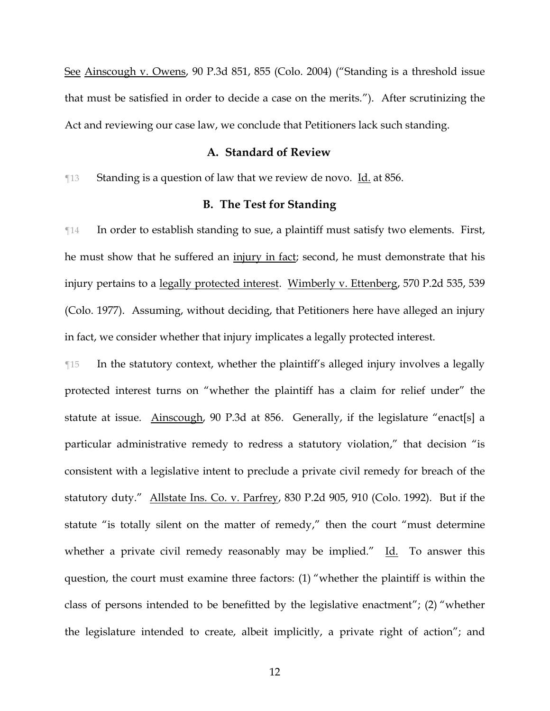See Ainscough v. Owens, 90 P.3d 851, 855 (Colo. 2004) ("Standing is a threshold issue that must be satisfied in order to decide a case on the merits."). After scrutinizing the Act and reviewing our case law, we conclude that Petitioners lack such standing.

#### **A. Standard of Review**

¶13 Standing is a question of law that we review de novo. Id. at 856.

### **B. The Test for Standing**

¶14 In order to establish standing to sue, a plaintiff must satisfy two elements. First, he must show that he suffered an injury in fact; second, he must demonstrate that his injury pertains to a legally protected interest. Wimberly v. Ettenberg, 570 P.2d 535, 539 (Colo. 1977). Assuming, without deciding, that Petitioners here have alleged an injury in fact, we consider whether that injury implicates a legally protected interest.

¶15 In the statutory context, whether the plaintiff's alleged injury involves a legally protected interest turns on "whether the plaintiff has a claim for relief under" the statute at issue. Ainscough, 90 P.3d at 856. Generally, if the legislature "enact[s] a particular administrative remedy to redress a statutory violation," that decision "is consistent with a legislative intent to preclude a private civil remedy for breach of the statutory duty." Allstate Ins. Co. v. Parfrey, 830 P.2d 905, 910 (Colo. 1992). But if the statute "is totally silent on the matter of remedy," then the court "must determine whether a private civil remedy reasonably may be implied."  $Id.$  To answer this question, the court must examine three factors: (1) "whether the plaintiff is within the class of persons intended to be benefitted by the legislative enactment"; (2) "whether the legislature intended to create, albeit implicitly, a private right of action"; and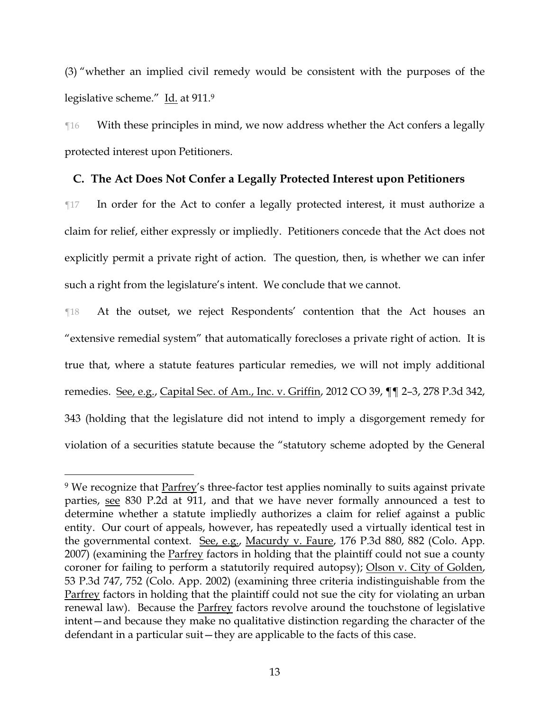(3) "whether an implied civil remedy would be consistent with the purposes of the legislative scheme.″ I<u>d.</u> at 911.º

¶16 With these principles in mind, we now address whether the Act confers a legally protected interest upon Petitioners.

# **C. The Act Does Not Confer a Legally Protected Interest upon Petitioners**

¶17 In order for the Act to confer a legally protected interest, it must authorize a claim for relief, either expressly or impliedly. Petitioners concede that the Act does not explicitly permit a private right of action. The question, then, is whether we can infer such a right from the legislature's intent. We conclude that we cannot.

¶18 At the outset, we reject Respondents' contention that the Act houses an "extensive remedial system" that automatically forecloses a private right of action. It is true that, where a statute features particular remedies, we will not imply additional remedies. See, e.g., Capital Sec. of Am., Inc. v. Griffin, 2012 CO 39, ¶¶ 2–3, 278 P.3d 342, 343 (holding that the legislature did not intend to imply a disgorgement remedy for violation of a securities statute because the "statutory scheme adopted by the General

<sup>&</sup>lt;sup>9</sup> We recognize that **Parfrey's three-factor test applies nominally to suits against private** parties, see 830 P.2d at 911, and that we have never formally announced a test to determine whether a statute impliedly authorizes a claim for relief against a public entity. Our court of appeals, however, has repeatedly used a virtually identical test in the governmental context. See, e.g., Macurdy v. Faure, 176 P.3d 880, 882 (Colo. App. 2007) (examining the Parfrey factors in holding that the plaintiff could not sue a county coroner for failing to perform a statutorily required autopsy); Olson v. City of Golden, 53 P.3d 747, 752 (Colo. App. 2002) (examining three criteria indistinguishable from the Parfrey factors in holding that the plaintiff could not sue the city for violating an urban renewal law). Because the Parfrey factors revolve around the touchstone of legislative intent—and because they make no qualitative distinction regarding the character of the defendant in a particular suit—they are applicable to the facts of this case.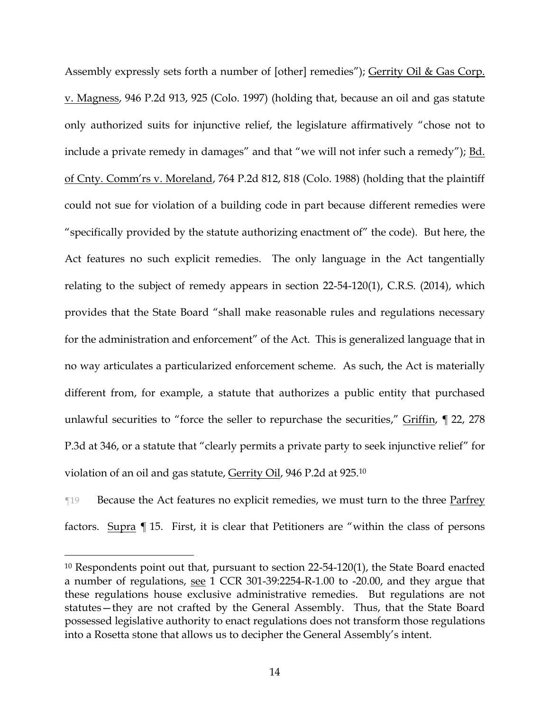Assembly expressly sets forth a number of [other] remedies"); Gerrity Oil & Gas Corp. v. Magness, 946 P.2d 913, 925 (Colo. 1997) (holding that, because an oil and gas statute only authorized suits for injunctive relief, the legislature affirmatively "chose not to include a private remedy in damages" and that "we will not infer such a remedy"); <u>Bd.</u> of Cnty. Comm'rs v. Moreland, 764 P.2d 812, 818 (Colo. 1988) (holding that the plaintiff could not sue for violation of a building code in part because different remedies were "specifically provided by the statute authorizing enactment of" the code). But here, the Act features no such explicit remedies. The only language in the Act tangentially relating to the subject of remedy appears in section 22-54-120(1), C.R.S. (2014), which provides that the State Board "shall make reasonable rules and regulations necessary for the administration and enforcement" of the Act. This is generalized language that in no way articulates a particularized enforcement scheme. As such, the Act is materially different from, for example, a statute that authorizes a public entity that purchased unlawful securities to "force the seller to repurchase the securities," Griffin, ¶ 22, 278 P.3d at 346, or a statute that "clearly permits a private party to seek injunctive relief" for violation of an oil and gas statute, Gerrity Oil, 946 P.2d at 925.<sup>10</sup>

¶19 Because the Act features no explicit remedies, we must turn to the three Parfrey factors. Supra ¶ 15. First, it is clear that Petitioners are "within the class of persons

<sup>&</sup>lt;sup>10</sup> Respondents point out that, pursuant to section 22-54-120(1), the State Board enacted a number of regulations, see 1 CCR 301-39:2254-R-1.00 to -20.00, and they argue that these regulations house exclusive administrative remedies. But regulations are not statutes—they are not crafted by the General Assembly. Thus, that the State Board possessed legislative authority to enact regulations does not transform those regulations into a Rosetta stone that allows us to decipher the General Assembly's intent.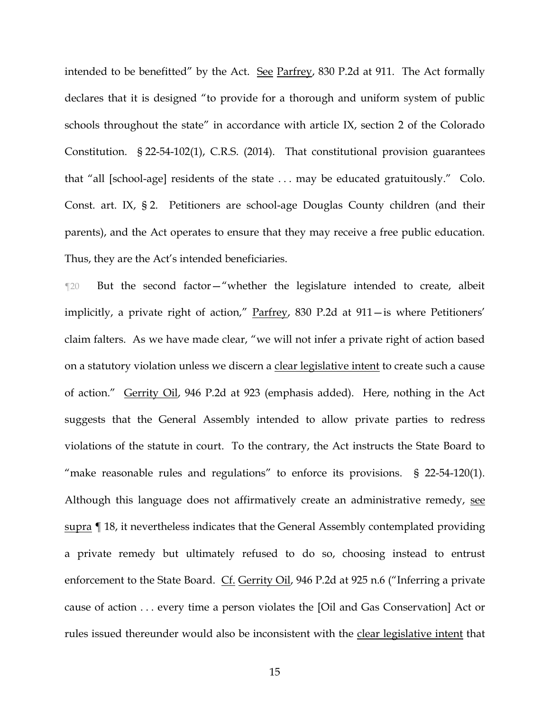intended to be benefitted" by the Act. See Parfrey, 830 P.2d at 911. The Act formally declares that it is designed "to provide for a thorough and uniform system of public schools throughout the state" in accordance with article IX, section 2 of the Colorado Constitution. § 22-54-102(1), C.R.S. (2014). That constitutional provision guarantees that "all [school-age] residents of the state . . . may be educated gratuitously." Colo. Const. art. IX, § 2. Petitioners are school-age Douglas County children (and their parents), and the Act operates to ensure that they may receive a free public education. Thus, they are the Act's intended beneficiaries.

¶20 But the second factor—"whether the legislature intended to create, albeit implicitly, a private right of action," Parfrey, 830 P.2d at 911—is where Petitioners' claim falters. As we have made clear, "we will not infer a private right of action based on a statutory violation unless we discern a clear legislative intent to create such a cause of action." Gerrity Oil, 946 P.2d at 923 (emphasis added). Here, nothing in the Act suggests that the General Assembly intended to allow private parties to redress violations of the statute in court. To the contrary, the Act instructs the State Board to "make reasonable rules and regulations" to enforce its provisions. § 22-54-120(1). Although this language does not affirmatively create an administrative remedy, see supra [18, it nevertheless indicates that the General Assembly contemplated providing a private remedy but ultimately refused to do so, choosing instead to entrust enforcement to the State Board. Cf. Gerrity Oil, 946 P.2d at 925 n.6 ("Inferring a private cause of action . . . every time a person violates the [Oil and Gas Conservation] Act or rules issued thereunder would also be inconsistent with the clear legislative intent that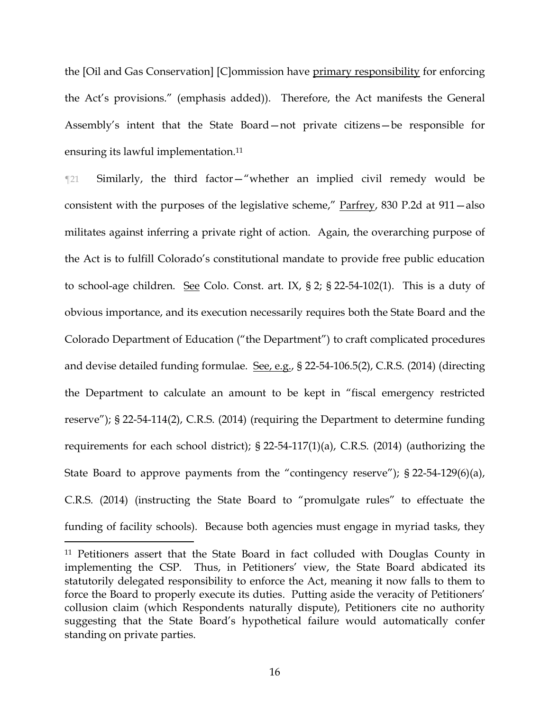the [Oil and Gas Conservation] [C]ommission have primary responsibility for enforcing the Act's provisions." (emphasis added)). Therefore, the Act manifests the General Assembly's intent that the State Board—not private citizens—be responsible for ensuring its lawful implementation. 11

¶21 Similarly, the third factor—"whether an implied civil remedy would be consistent with the purposes of the legislative scheme," Parfrey, 830 P.2d at 911—also militates against inferring a private right of action. Again, the overarching purpose of the Act is to fulfill Colorado's constitutional mandate to provide free public education to school-age children. See Colo. Const. art. IX, § 2; § 22-54-102(1). This is a duty of obvious importance, and its execution necessarily requires both the State Board and the Colorado Department of Education ("the Department") to craft complicated procedures and devise detailed funding formulae. See, e.g., § 22-54-106.5(2), C.R.S. (2014) (directing the Department to calculate an amount to be kept in "fiscal emergency restricted reserve"); § 22-54-114(2), C.R.S. (2014) (requiring the Department to determine funding requirements for each school district); § 22-54-117(1)(a), C.R.S. (2014) (authorizing the State Board to approve payments from the "contingency reserve"); § 22-54-129(6)(a), C.R.S. (2014) (instructing the State Board to "promulgate rules" to effectuate the funding of facility schools). Because both agencies must engage in myriad tasks, they

<sup>11</sup> Petitioners assert that the State Board in fact colluded with Douglas County in implementing the CSP. Thus, in Petitioners' view, the State Board abdicated its statutorily delegated responsibility to enforce the Act, meaning it now falls to them to force the Board to properly execute its duties. Putting aside the veracity of Petitioners' collusion claim (which Respondents naturally dispute), Petitioners cite no authority suggesting that the State Board's hypothetical failure would automatically confer standing on private parties.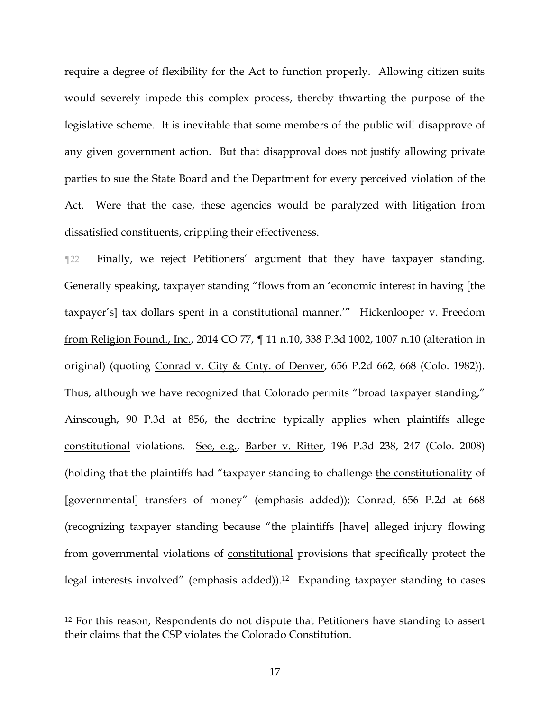require a degree of flexibility for the Act to function properly. Allowing citizen suits would severely impede this complex process, thereby thwarting the purpose of the legislative scheme. It is inevitable that some members of the public will disapprove of any given government action. But that disapproval does not justify allowing private parties to sue the State Board and the Department for every perceived violation of the Act. Were that the case, these agencies would be paralyzed with litigation from dissatisfied constituents, crippling their effectiveness.

¶22 Finally, we reject Petitioners' argument that they have taxpayer standing. Generally speaking, taxpayer standing "flows from an 'economic interest in having [the taxpayer's] tax dollars spent in a constitutional manner.'" Hickenlooper v. Freedom from Religion Found., Inc., 2014 CO 77, ¶ 11 n.10, 338 P.3d 1002, 1007 n.10 (alteration in original) (quoting Conrad v. City & Cnty. of Denver, 656 P.2d 662, 668 (Colo. 1982)). Thus, although we have recognized that Colorado permits "broad taxpayer standing," Ainscough, 90 P.3d at 856, the doctrine typically applies when plaintiffs allege constitutional violations. See, e.g., Barber v. Ritter, 196 P.3d 238, 247 (Colo. 2008) (holding that the plaintiffs had "taxpayer standing to challenge the constitutionality of [governmental] transfers of money" (emphasis added)); Conrad, 656 P.2d at 668 (recognizing taxpayer standing because "the plaintiffs [have] alleged injury flowing from governmental violations of constitutional provisions that specifically protect the legal interests involved" (emphasis added)).12 Expanding taxpayer standing to cases

<sup>&</sup>lt;sup>12</sup> For this reason, Respondents do not dispute that Petitioners have standing to assert their claims that the CSP violates the Colorado Constitution.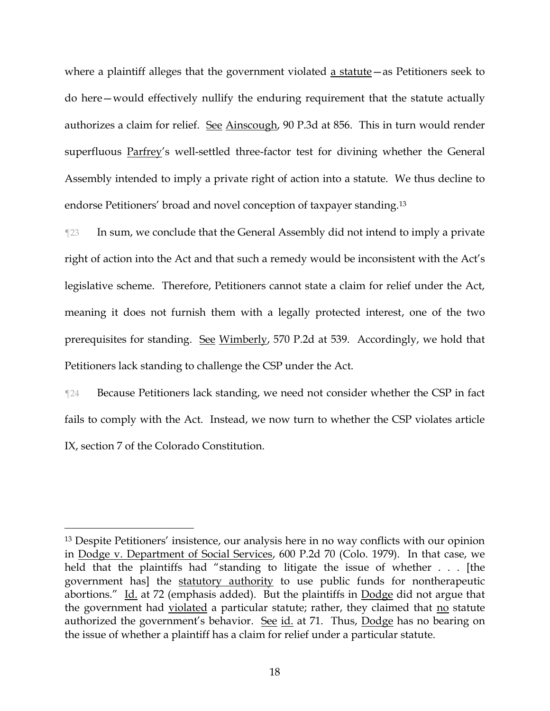where a plaintiff alleges that the government violated a statute—as Petitioners seek to do here—would effectively nullify the enduring requirement that the statute actually authorizes a claim for relief. See Ainscough, 90 P.3d at 856. This in turn would render superfluous Parfrey's well-settled three-factor test for divining whether the General Assembly intended to imply a private right of action into a statute. We thus decline to endorse Petitioners' broad and novel conception of taxpayer standing.<sup>13</sup>

¶23 In sum, we conclude that the General Assembly did not intend to imply a private right of action into the Act and that such a remedy would be inconsistent with the Act's legislative scheme. Therefore, Petitioners cannot state a claim for relief under the Act, meaning it does not furnish them with a legally protected interest, one of the two prerequisites for standing. See Wimberly, 570 P.2d at 539. Accordingly, we hold that Petitioners lack standing to challenge the CSP under the Act.

¶24 Because Petitioners lack standing, we need not consider whether the CSP in fact fails to comply with the Act. Instead, we now turn to whether the CSP violates article IX, section 7 of the Colorado Constitution.

<sup>13</sup> Despite Petitioners' insistence, our analysis here in no way conflicts with our opinion in Dodge v. Department of Social Services, 600 P.2d 70 (Colo. 1979). In that case, we held that the plaintiffs had "standing to litigate the issue of whether . . . [the government has] the statutory authority to use public funds for nontherapeutic abortions." Id. at 72 (emphasis added). But the plaintiffs in Dodge did not argue that the government had violated a particular statute; rather, they claimed that no statute authorized the government's behavior. See id. at 71. Thus, Dodge has no bearing on the issue of whether a plaintiff has a claim for relief under a particular statute.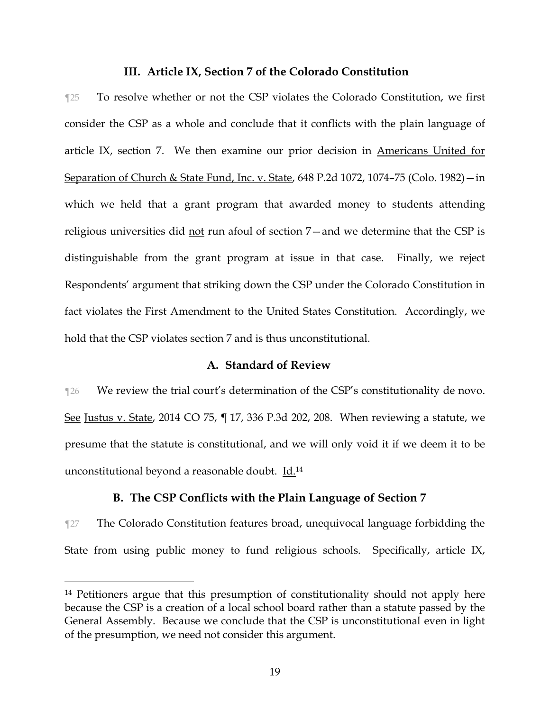### **III. Article IX, Section 7 of the Colorado Constitution**

¶25 To resolve whether or not the CSP violates the Colorado Constitution, we first consider the CSP as a whole and conclude that it conflicts with the plain language of article IX, section 7. We then examine our prior decision in Americans United for Separation of Church & State Fund, Inc. v. State, 648 P.2d 1072, 1074–75 (Colo. 1982)—in which we held that a grant program that awarded money to students attending religious universities did not run afoul of section 7—and we determine that the CSP is distinguishable from the grant program at issue in that case. Finally, we reject Respondents' argument that striking down the CSP under the Colorado Constitution in fact violates the First Amendment to the United States Constitution. Accordingly, we hold that the CSP violates section 7 and is thus unconstitutional.

### **A. Standard of Review**

¶26 We review the trial court's determination of the CSP's constitutionality de novo. See Justus v. State, 2014 CO 75, ¶ 17, 336 P.3d 202, 208. When reviewing a statute, we presume that the statute is constitutional, and we will only void it if we deem it to be unconstitutional beyond a reasonable doubt. Id.<sup>14</sup>

### **B. The CSP Conflicts with the Plain Language of Section 7**

¶27 The Colorado Constitution features broad, unequivocal language forbidding the State from using public money to fund religious schools. Specifically, article IX,

<sup>&</sup>lt;sup>14</sup> Petitioners argue that this presumption of constitutionality should not apply here because the CSP is a creation of a local school board rather than a statute passed by the General Assembly. Because we conclude that the CSP is unconstitutional even in light of the presumption, we need not consider this argument.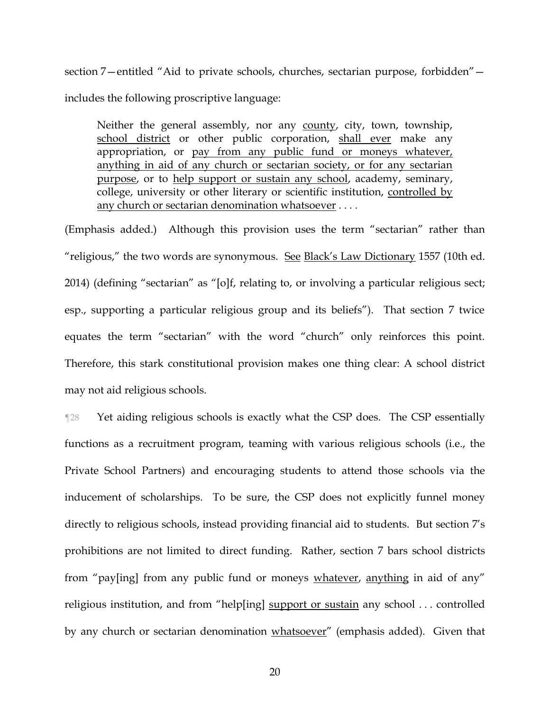section 7—entitled "Aid to private schools, churches, sectarian purpose, forbidden" includes the following proscriptive language:

Neither the general assembly, nor any county, city, town, township, school district or other public corporation, shall ever make any appropriation, or pay from any public fund or moneys whatever, anything in aid of any church or sectarian society, or for any sectarian purpose, or to help support or sustain any school, academy, seminary, college, university or other literary or scientific institution, controlled by any church or sectarian denomination whatsoever . . . .

(Emphasis added.) Although this provision uses the term "sectarian" rather than "religious," the two words are synonymous. See Black's Law Dictionary 1557 (10th ed. 2014) (defining "sectarian" as "[o]f, relating to, or involving a particular religious sect; esp., supporting a particular religious group and its beliefs"). That section 7 twice equates the term "sectarian" with the word "church" only reinforces this point. Therefore, this stark constitutional provision makes one thing clear: A school district may not aid religious schools.

¶28 Yet aiding religious schools is exactly what the CSP does. The CSP essentially functions as a recruitment program, teaming with various religious schools (i.e., the Private School Partners) and encouraging students to attend those schools via the inducement of scholarships. To be sure, the CSP does not explicitly funnel money directly to religious schools, instead providing financial aid to students. But section 7's prohibitions are not limited to direct funding. Rather, section 7 bars school districts from "pay[ing] from any public fund or moneys whatever, anything in aid of any" religious institution, and from "help[ing] support or sustain any school ... controlled by any church or sectarian denomination whatsoever" (emphasis added). Given that

20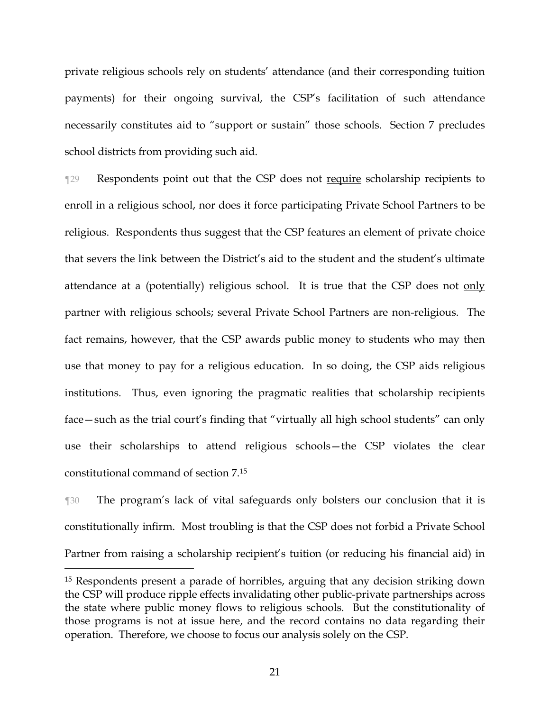private religious schools rely on students' attendance (and their corresponding tuition payments) for their ongoing survival, the CSP's facilitation of such attendance necessarily constitutes aid to "support or sustain" those schools. Section 7 precludes school districts from providing such aid.

¶29 Respondents point out that the CSP does not require scholarship recipients to enroll in a religious school, nor does it force participating Private School Partners to be religious. Respondents thus suggest that the CSP features an element of private choice that severs the link between the District's aid to the student and the student's ultimate attendance at a (potentially) religious school. It is true that the CSP does not only partner with religious schools; several Private School Partners are non-religious. The fact remains, however, that the CSP awards public money to students who may then use that money to pay for a religious education. In so doing, the CSP aids religious institutions. Thus, even ignoring the pragmatic realities that scholarship recipients face—such as the trial court's finding that "virtually all high school students" can only use their scholarships to attend religious schools—the CSP violates the clear constitutional command of section 7.<sup>15</sup>

¶30 The program's lack of vital safeguards only bolsters our conclusion that it is constitutionally infirm. Most troubling is that the CSP does not forbid a Private School Partner from raising a scholarship recipient's tuition (or reducing his financial aid) in

<sup>15</sup> Respondents present a parade of horribles, arguing that any decision striking down the CSP will produce ripple effects invalidating other public-private partnerships across the state where public money flows to religious schools. But the constitutionality of those programs is not at issue here, and the record contains no data regarding their operation. Therefore, we choose to focus our analysis solely on the CSP.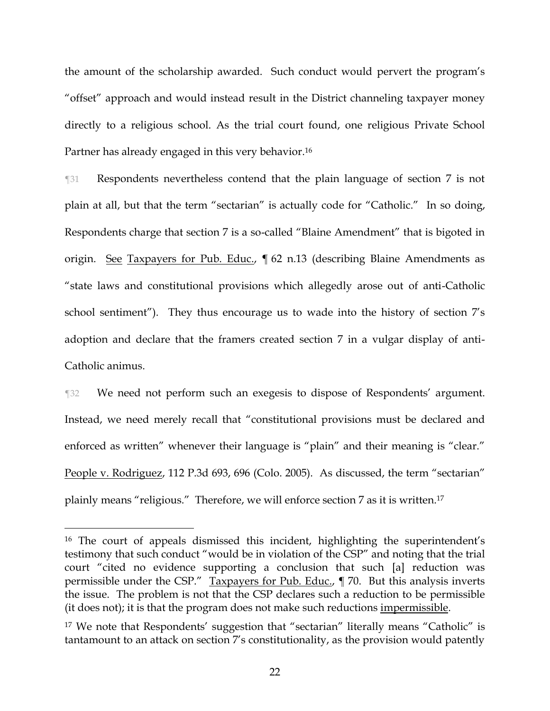the amount of the scholarship awarded. Such conduct would pervert the program's "offset" approach and would instead result in the District channeling taxpayer money directly to a religious school. As the trial court found, one religious Private School Partner has already engaged in this very behavior.<sup>16</sup>

¶31 Respondents nevertheless contend that the plain language of section 7 is not plain at all, but that the term "sectarian" is actually code for "Catholic." In so doing, Respondents charge that section 7 is a so-called "Blaine Amendment" that is bigoted in origin. See Taxpayers for Pub. Educ., 162 n.13 (describing Blaine Amendments as "state laws and constitutional provisions which allegedly arose out of anti-Catholic school sentiment"). They thus encourage us to wade into the history of section 7's adoption and declare that the framers created section 7 in a vulgar display of anti-Catholic animus.

¶32 We need not perform such an exegesis to dispose of Respondents' argument. Instead, we need merely recall that "constitutional provisions must be declared and enforced as written" whenever their language is "plain" and their meaning is "clear." People v. Rodriguez, 112 P.3d 693, 696 (Colo. 2005). As discussed, the term "sectarian" plainly means "religious." Therefore, we will enforce section 7 as it is written. 17

<sup>16</sup> The court of appeals dismissed this incident, highlighting the superintendent's testimony that such conduct "would be in violation of the CSP" and noting that the trial court "cited no evidence supporting a conclusion that such [a] reduction was permissible under the CSP." Taxpayers for Pub. Educ., ¶ 70. But this analysis inverts the issue. The problem is not that the CSP declares such a reduction to be permissible (it does not); it is that the program does not make such reductions impermissible.

<sup>&</sup>lt;sup>17</sup> We note that Respondents' suggestion that "sectarian" literally means "Catholic" is tantamount to an attack on section 7's constitutionality, as the provision would patently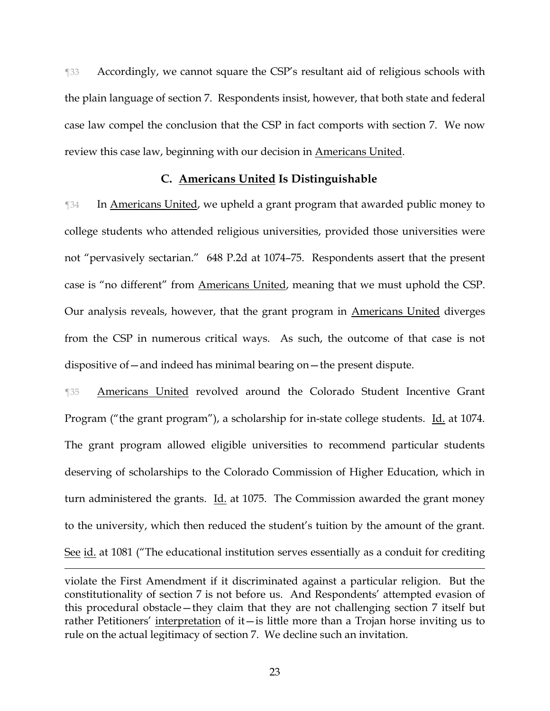¶33 Accordingly, we cannot square the CSP's resultant aid of religious schools with the plain language of section 7. Respondents insist, however, that both state and federal case law compel the conclusion that the CSP in fact comports with section 7. We now review this case law, beginning with our decision in Americans United.

### **C. Americans United Is Distinguishable**

**The In Americans United, we upheld a grant program that awarded public money to** college students who attended religious universities, provided those universities were not "pervasively sectarian." 648 P.2d at 1074–75. Respondents assert that the present case is "no different" from Americans United, meaning that we must uphold the CSP. Our analysis reveals, however, that the grant program in Americans United diverges from the CSP in numerous critical ways. As such, the outcome of that case is not dispositive of—and indeed has minimal bearing on—the present dispute.

¶35 Americans United revolved around the Colorado Student Incentive Grant Program ("the grant program"), a scholarship for in-state college students. Id. at 1074. The grant program allowed eligible universities to recommend particular students deserving of scholarships to the Colorado Commission of Higher Education, which in turn administered the grants. Id. at 1075. The Commission awarded the grant money to the university, which then reduced the student's tuition by the amount of the grant. See id. at 1081 ("The educational institution serves essentially as a conduit for crediting

violate the First Amendment if it discriminated against a particular religion. But the constitutionality of section 7 is not before us. And Respondents' attempted evasion of this procedural obstacle—they claim that they are not challenging section 7 itself but rather Petitioners' interpretation of it—is little more than a Trojan horse inviting us to rule on the actual legitimacy of section 7. We decline such an invitation.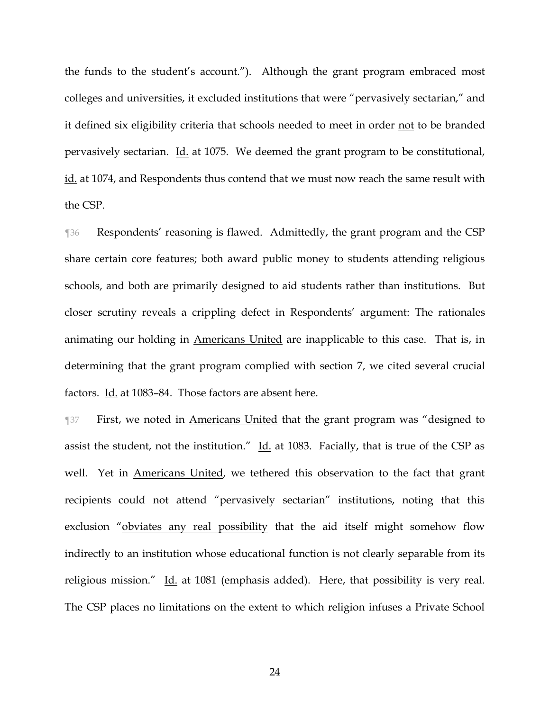the funds to the student's account."). Although the grant program embraced most colleges and universities, it excluded institutions that were "pervasively sectarian," and it defined six eligibility criteria that schools needed to meet in order not to be branded pervasively sectarian. Id. at 1075. We deemed the grant program to be constitutional, id. at 1074, and Respondents thus contend that we must now reach the same result with the CSP.

¶36 Respondents' reasoning is flawed. Admittedly, the grant program and the CSP share certain core features; both award public money to students attending religious schools, and both are primarily designed to aid students rather than institutions. But closer scrutiny reveals a crippling defect in Respondents' argument: The rationales animating our holding in Americans United are inapplicable to this case. That is, in determining that the grant program complied with section 7, we cited several crucial factors. Id. at 1083–84. Those factors are absent here.

¶37 First, we noted in Americans United that the grant program was "designed to assist the student, not the institution." Id. at 1083. Facially, that is true of the CSP as well. Yet in Americans United, we tethered this observation to the fact that grant recipients could not attend "pervasively sectarian" institutions, noting that this exclusion "obviates any real possibility that the aid itself might somehow flow indirectly to an institution whose educational function is not clearly separable from its religious mission." Id. at 1081 (emphasis added). Here, that possibility is very real. The CSP places no limitations on the extent to which religion infuses a Private School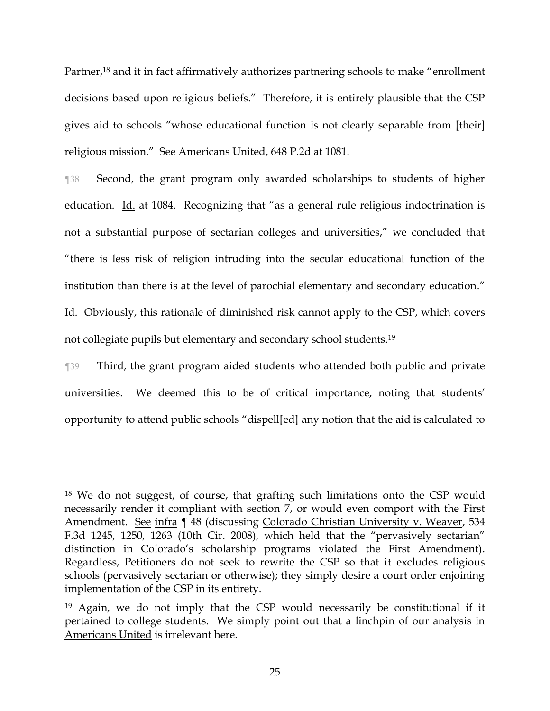Partner,<sup>18</sup> and it in fact affirmatively authorizes partnering schools to make "enrollment" decisions based upon religious beliefs." Therefore, it is entirely plausible that the CSP gives aid to schools "whose educational function is not clearly separable from [their] religious mission." See Americans United, 648 P.2d at 1081.

¶38 Second, the grant program only awarded scholarships to students of higher education. Id. at 1084. Recognizing that "as a general rule religious indoctrination is not a substantial purpose of sectarian colleges and universities," we concluded that "there is less risk of religion intruding into the secular educational function of the institution than there is at the level of parochial elementary and secondary education." Id. Obviously, this rationale of diminished risk cannot apply to the CSP, which covers not collegiate pupils but elementary and secondary school students.<sup>19</sup>

¶39 Third, the grant program aided students who attended both public and private universities. We deemed this to be of critical importance, noting that students' opportunity to attend public schools "dispell[ed] any notion that the aid is calculated to

<sup>18</sup> We do not suggest, of course, that grafting such limitations onto the CSP would necessarily render it compliant with section 7, or would even comport with the First Amendment. See infra ¶ 48 (discussing Colorado Christian University v. Weaver, 534 F.3d 1245, 1250, 1263 (10th Cir. 2008), which held that the "pervasively sectarian" distinction in Colorado's scholarship programs violated the First Amendment). Regardless, Petitioners do not seek to rewrite the CSP so that it excludes religious schools (pervasively sectarian or otherwise); they simply desire a court order enjoining implementation of the CSP in its entirety.

<sup>19</sup> Again, we do not imply that the CSP would necessarily be constitutional if it pertained to college students. We simply point out that a linchpin of our analysis in Americans United is irrelevant here.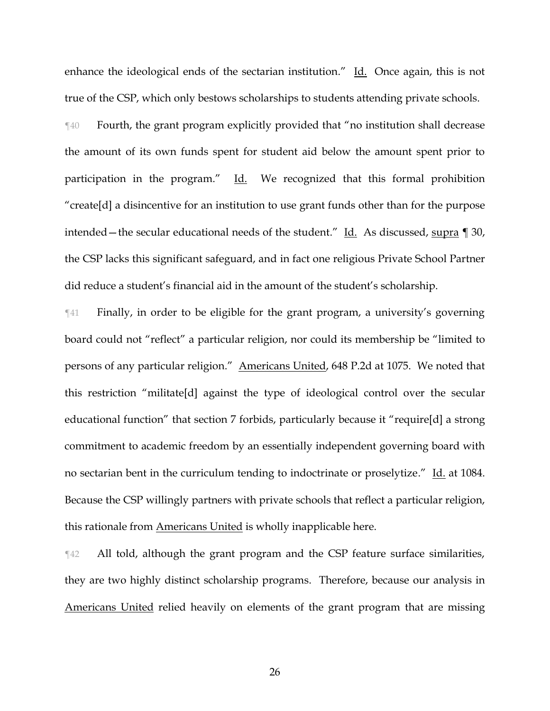enhance the ideological ends of the sectarian institution." Id. Once again, this is not true of the CSP, which only bestows scholarships to students attending private schools.

¶40 Fourth, the grant program explicitly provided that "no institution shall decrease the amount of its own funds spent for student aid below the amount spent prior to participation in the program." Id. We recognized that this formal prohibition "create[d] a disincentive for an institution to use grant funds other than for the purpose intended—the secular educational needs of the student." Id. As discussed, supra ¶ 30, the CSP lacks this significant safeguard, and in fact one religious Private School Partner did reduce a student's financial aid in the amount of the student's scholarship.

¶41 Finally, in order to be eligible for the grant program, a university's governing board could not "reflect" a particular religion, nor could its membership be "limited to persons of any particular religion." Americans United, 648 P.2d at 1075. We noted that this restriction "militate[d] against the type of ideological control over the secular educational function" that section 7 forbids, particularly because it "require[d] a strong commitment to academic freedom by an essentially independent governing board with no sectarian bent in the curriculum tending to indoctrinate or proselytize." Id. at 1084. Because the CSP willingly partners with private schools that reflect a particular religion, this rationale from Americans United is wholly inapplicable here.

¶42 All told, although the grant program and the CSP feature surface similarities, they are two highly distinct scholarship programs. Therefore, because our analysis in Americans United relied heavily on elements of the grant program that are missing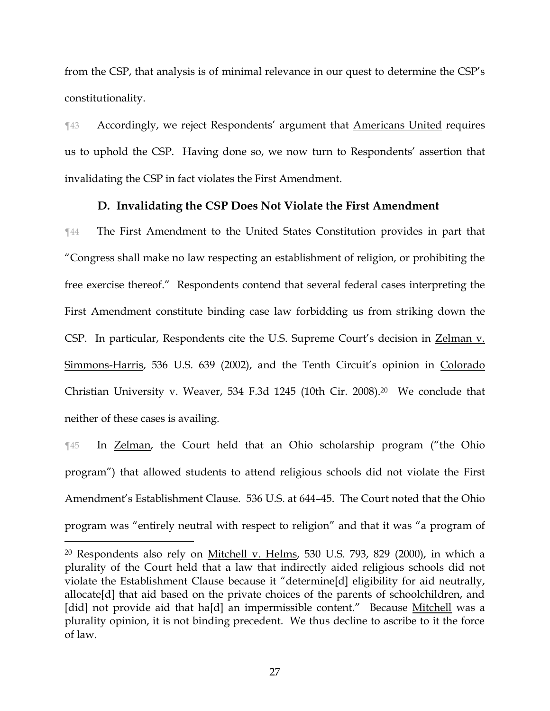from the CSP, that analysis is of minimal relevance in our quest to determine the CSP's constitutionality.

**THE Accordingly, we reject Respondents' argument that Americans United requires** us to uphold the CSP. Having done so, we now turn to Respondents' assertion that invalidating the CSP in fact violates the First Amendment.

# **D. Invalidating the CSP Does Not Violate the First Amendment**

¶44 The First Amendment to the United States Constitution provides in part that "Congress shall make no law respecting an establishment of religion, or prohibiting the free exercise thereof." Respondents contend that several federal cases interpreting the First Amendment constitute binding case law forbidding us from striking down the CSP. In particular, Respondents cite the U.S. Supreme Court's decision in Zelman v. Simmons-Harris, 536 U.S. 639 (2002), and the Tenth Circuit's opinion in Colorado Christian University v. Weaver, 534 F.3d 1245 (10th Cir. 2008). <sup>20</sup> We conclude that neither of these cases is availing.

¶45 In Zelman, the Court held that an Ohio scholarship program ("the Ohio program") that allowed students to attend religious schools did not violate the First Amendment's Establishment Clause. 536 U.S. at 644–45. The Court noted that the Ohio program was "entirely neutral with respect to religion" and that it was "a program of

 $\overline{a}$ 

27

<sup>20</sup> Respondents also rely on Mitchell v. Helms, 530 U.S. 793, 829 (2000), in which a plurality of the Court held that a law that indirectly aided religious schools did not violate the Establishment Clause because it "determine[d] eligibility for aid neutrally, allocate[d] that aid based on the private choices of the parents of schoolchildren, and [did] not provide aid that ha[d] an impermissible content." Because Mitchell was a plurality opinion, it is not binding precedent. We thus decline to ascribe to it the force of law.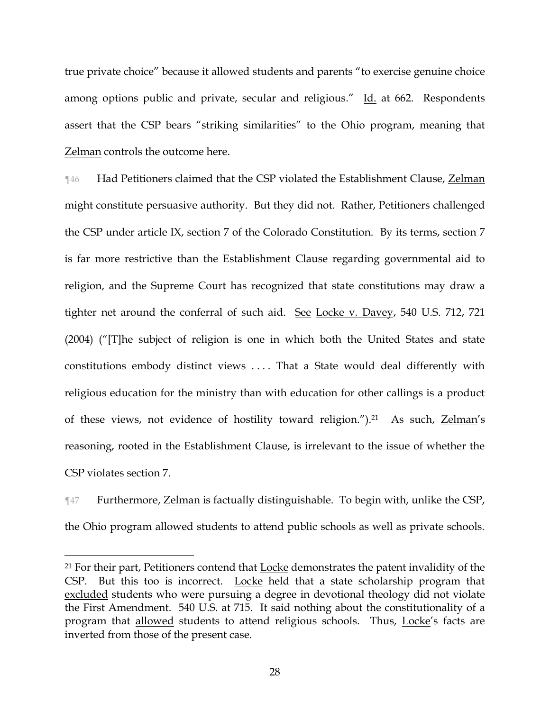true private choice" because it allowed students and parents "to exercise genuine choice among options public and private, secular and religious." Id. at 662. Respondents assert that the CSP bears "striking similarities" to the Ohio program, meaning that Zelman controls the outcome here.

¶46 Had Petitioners claimed that the CSP violated the Establishment Clause, Zelman might constitute persuasive authority. But they did not. Rather, Petitioners challenged the CSP under article IX, section 7 of the Colorado Constitution. By its terms, section 7 is far more restrictive than the Establishment Clause regarding governmental aid to religion, and the Supreme Court has recognized that state constitutions may draw a tighter net around the conferral of such aid. See Locke v. Davey, 540 U.S. 712, 721 (2004) ("[T]he subject of religion is one in which both the United States and state constitutions embody distinct views .... That a State would deal differently with religious education for the ministry than with education for other callings is a product of these views, not evidence of hostility toward religion.").21 As such, Zelman's reasoning, rooted in the Establishment Clause, is irrelevant to the issue of whether the CSP violates section 7.

¶47 Furthermore, Zelman is factually distinguishable. To begin with, unlike the CSP, the Ohio program allowed students to attend public schools as well as private schools.

<sup>&</sup>lt;sup>21</sup> For their part, Petitioners contend that **Locke** demonstrates the patent invalidity of the CSP. But this too is incorrect. Locke held that a state scholarship program that excluded students who were pursuing a degree in devotional theology did not violate the First Amendment. 540 U.S. at 715. It said nothing about the constitutionality of a program that allowed students to attend religious schools. Thus, Locke's facts are inverted from those of the present case.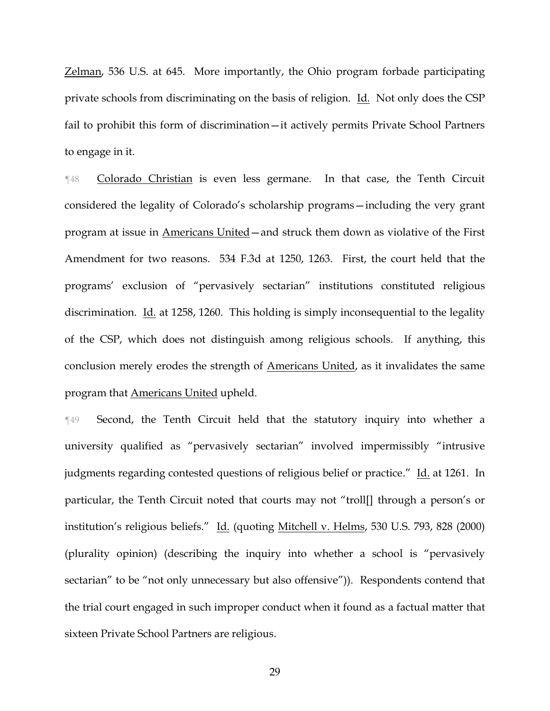Zelman, 536 U.S. at 645. More importantly, the Ohio program forbade participating private schools from discriminating on the basis of religion. Id. Not only does the CSP fail to prohibit this form of discrimination—it actively permits Private School Partners to engage in it.

¶48 Colorado Christian is even less germane. In that case, the Tenth Circuit considered the legality of Colorado's scholarship programs—including the very grant program at issue in Americans United—and struck them down as violative of the First Amendment for two reasons. 534 F.3d at 1250, 1263. First, the court held that the programs' exclusion of "pervasively sectarian" institutions constituted religious discrimination. Id. at 1258, 1260. This holding is simply inconsequential to the legality of the CSP, which does not distinguish among religious schools. If anything, this conclusion merely erodes the strength of Americans United, as it invalidates the same program that Americans United upheld.

¶49 Second, the Tenth Circuit held that the statutory inquiry into whether a university qualified as "pervasively sectarian" involved impermissibly "intrusive judgments regarding contested questions of religious belief or practice." Id. at 1261. In particular, the Tenth Circuit noted that courts may not "troll[] through a person's or institution's religious beliefs." Id. (quoting Mitchell v. Helms, 530 U.S. 793, 828 (2000) (plurality opinion) (describing the inquiry into whether a school is "pervasively sectarian" to be "not only unnecessary but also offensive")). Respondents contend that the trial court engaged in such improper conduct when it found as a factual matter that sixteen Private School Partners are religious.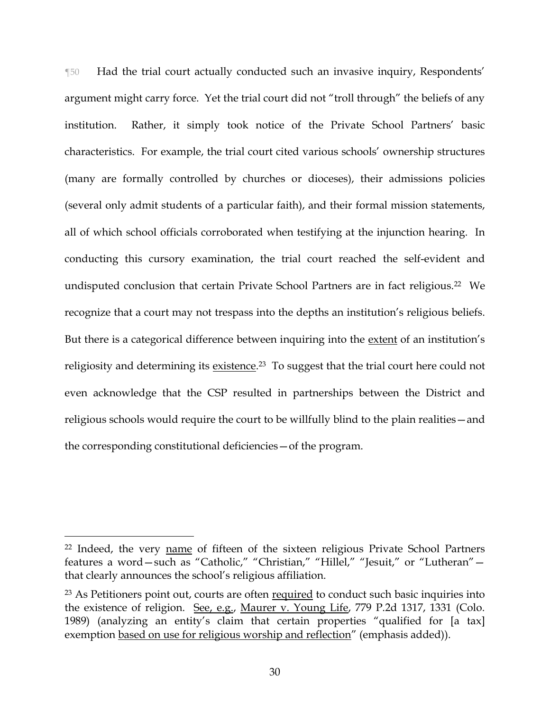¶50 Had the trial court actually conducted such an invasive inquiry, Respondents' argument might carry force. Yet the trial court did not "troll through" the beliefs of any institution. Rather, it simply took notice of the Private School Partners' basic characteristics. For example, the trial court cited various schools' ownership structures (many are formally controlled by churches or dioceses), their admissions policies (several only admit students of a particular faith), and their formal mission statements, all of which school officials corroborated when testifying at the injunction hearing. In conducting this cursory examination, the trial court reached the self-evident and undisputed conclusion that certain Private School Partners are in fact religious.<sup>22</sup> We recognize that a court may not trespass into the depths an institution's religious beliefs. But there is a categorical difference between inquiring into the extent of an institution's religiosity and determining its <u>existence</u>.<sup>23</sup> To suggest that the trial court here could not even acknowledge that the CSP resulted in partnerships between the District and religious schools would require the court to be willfully blind to the plain realities—and the corresponding constitutional deficiencies—of the program.

<sup>22</sup> Indeed, the very name of fifteen of the sixteen religious Private School Partners features a word—such as "Catholic," "Christian," "Hillel," "Jesuit," or "Lutheran" that clearly announces the school's religious affiliation.

<sup>&</sup>lt;sup>23</sup> As Petitioners point out, courts are often required to conduct such basic inquiries into the existence of religion. See, e.g., Maurer v. Young Life, 779 P.2d 1317, 1331 (Colo. 1989) (analyzing an entity's claim that certain properties "qualified for [a tax] exemption based on use for religious worship and reflection" (emphasis added)).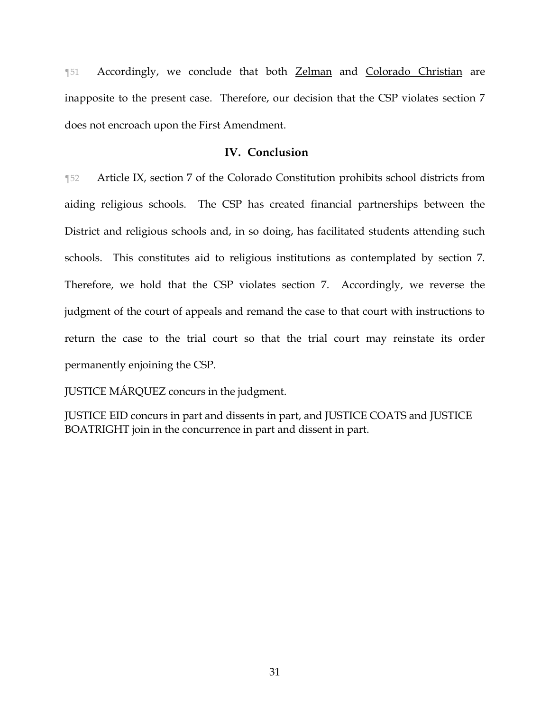¶51 Accordingly, we conclude that both Zelman and Colorado Christian are inapposite to the present case. Therefore, our decision that the CSP violates section 7 does not encroach upon the First Amendment.

# **IV. Conclusion**

¶52 Article IX, section 7 of the Colorado Constitution prohibits school districts from aiding religious schools. The CSP has created financial partnerships between the District and religious schools and, in so doing, has facilitated students attending such schools. This constitutes aid to religious institutions as contemplated by section 7. Therefore, we hold that the CSP violates section 7. Accordingly, we reverse the judgment of the court of appeals and remand the case to that court with instructions to return the case to the trial court so that the trial court may reinstate its order permanently enjoining the CSP.

JUSTICE MÁRQUEZ concurs in the judgment.

JUSTICE EID concurs in part and dissents in part, and JUSTICE COATS and JUSTICE BOATRIGHT join in the concurrence in part and dissent in part.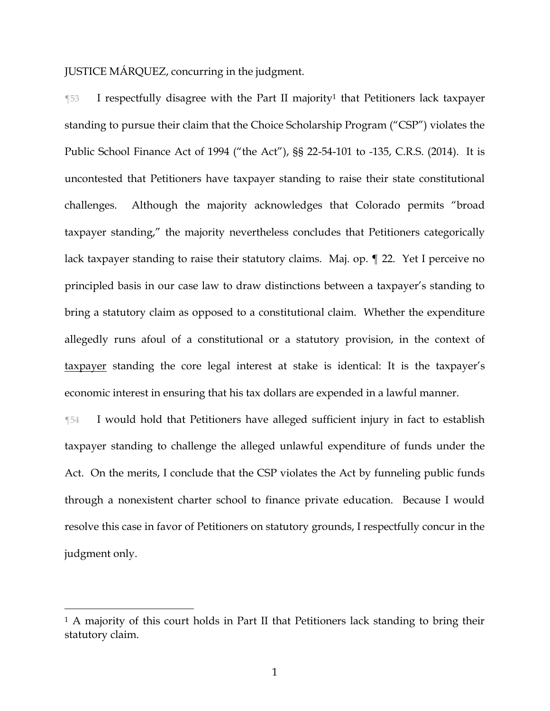JUSTICE MÁRQUEZ, concurring in the judgment.

 $\P$ 53 I respectfully disagree with the Part II majority<sup>1</sup> that Petitioners lack taxpayer standing to pursue their claim that the Choice Scholarship Program ("CSP") violates the Public School Finance Act of 1994 ("the Act"), §§ 22-54-101 to -135, C.R.S. (2014). It is uncontested that Petitioners have taxpayer standing to raise their state constitutional challenges. Although the majority acknowledges that Colorado permits "broad taxpayer standing," the majority nevertheless concludes that Petitioners categorically lack taxpayer standing to raise their statutory claims. Maj. op. ¶ 22. Yet I perceive no principled basis in our case law to draw distinctions between a taxpayer's standing to bring a statutory claim as opposed to a constitutional claim. Whether the expenditure allegedly runs afoul of a constitutional or a statutory provision, in the context of taxpayer standing the core legal interest at stake is identical: It is the taxpayer's economic interest in ensuring that his tax dollars are expended in a lawful manner.

¶54 I would hold that Petitioners have alleged sufficient injury in fact to establish taxpayer standing to challenge the alleged unlawful expenditure of funds under the Act. On the merits, I conclude that the CSP violates the Act by funneling public funds through a nonexistent charter school to finance private education. Because I would resolve this case in favor of Petitioners on statutory grounds, I respectfully concur in the judgment only.

<sup>&</sup>lt;sup>1</sup> A majority of this court holds in Part II that Petitioners lack standing to bring their statutory claim.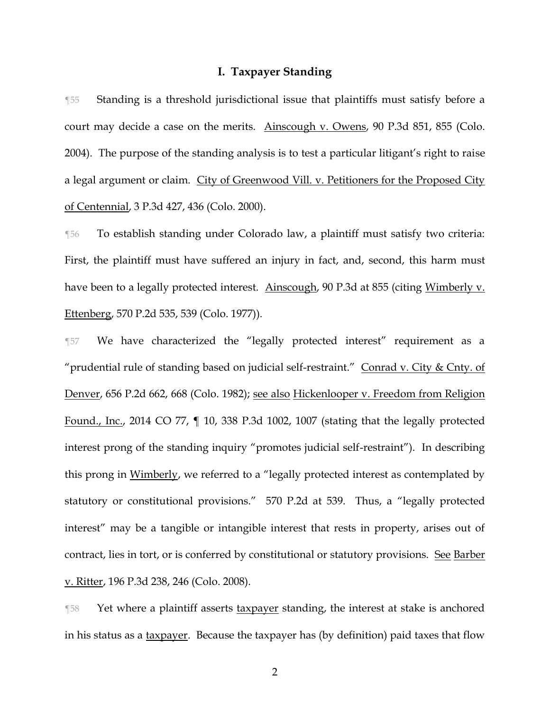#### **I. Taxpayer Standing**

¶55 Standing is a threshold jurisdictional issue that plaintiffs must satisfy before a court may decide a case on the merits. Ainscough v. Owens, 90 P.3d 851, 855 (Colo. 2004). The purpose of the standing analysis is to test a particular litigant's right to raise a legal argument or claim. City of Greenwood Vill. v. Petitioners for the Proposed City of Centennial, 3 P.3d 427, 436 (Colo. 2000).

¶56 To establish standing under Colorado law, a plaintiff must satisfy two criteria: First, the plaintiff must have suffered an injury in fact, and, second, this harm must have been to a legally protected interest. Ainscough, 90 P.3d at 855 (citing Wimberly v. Ettenberg, 570 P.2d 535, 539 (Colo. 1977)).

¶57 We have characterized the "legally protected interest" requirement as a "prudential rule of standing based on judicial self-restraint." Conrad v. City & Cnty. of Denver, 656 P.2d 662, 668 (Colo. 1982); see also Hickenlooper v. Freedom from Religion Found., Inc., 2014 CO 77, ¶ 10, 338 P.3d 1002, 1007 (stating that the legally protected interest prong of the standing inquiry "promotes judicial self-restraint"). In describing this prong in Wimberly, we referred to a "legally protected interest as contemplated by statutory or constitutional provisions." 570 P.2d at 539. Thus, a "legally protected interest" may be a tangible or intangible interest that rests in property, arises out of contract, lies in tort, or is conferred by constitutional or statutory provisions. See Barber v. Ritter, 196 P.3d 238, 246 (Colo. 2008).

¶58 Yet where a plaintiff asserts taxpayer standing, the interest at stake is anchored in his status as a taxpayer. Because the taxpayer has (by definition) paid taxes that flow

2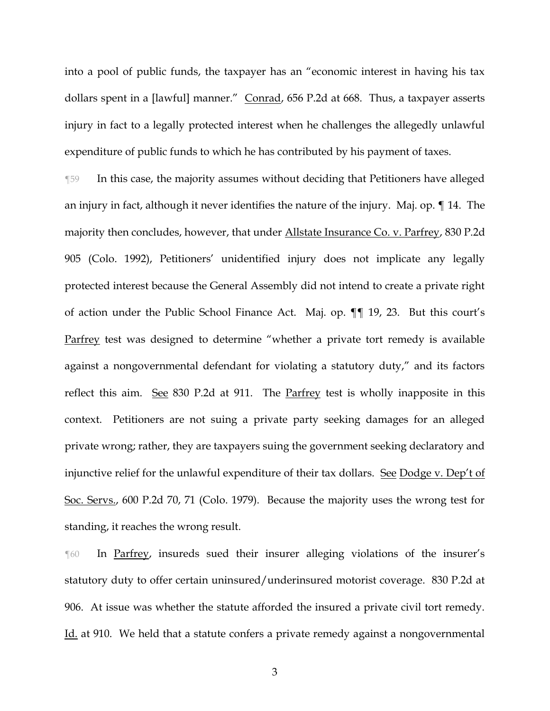into a pool of public funds, the taxpayer has an "economic interest in having his tax dollars spent in a [lawful] manner." Conrad, 656 P.2d at 668. Thus, a taxpayer asserts injury in fact to a legally protected interest when he challenges the allegedly unlawful expenditure of public funds to which he has contributed by his payment of taxes.

¶59 In this case, the majority assumes without deciding that Petitioners have alleged an injury in fact, although it never identifies the nature of the injury. Maj. op. ¶ 14. The majority then concludes, however, that under Allstate Insurance Co. v. Parfrey, 830 P.2d 905 (Colo. 1992), Petitioners' unidentified injury does not implicate any legally protected interest because the General Assembly did not intend to create a private right of action under the Public School Finance Act. Maj. op. ¶¶ 19, 23. But this court's Parfrey test was designed to determine "whether a private tort remedy is available against a nongovernmental defendant for violating a statutory duty," and its factors reflect this aim. See 830 P.2d at 911. The Parfrey test is wholly inapposite in this context. Petitioners are not suing a private party seeking damages for an alleged private wrong; rather, they are taxpayers suing the government seeking declaratory and injunctive relief for the unlawful expenditure of their tax dollars. See Dodge v. Dep't of Soc. Servs., 600 P.2d 70, 71 (Colo. 1979). Because the majority uses the wrong test for standing, it reaches the wrong result.

¶60 In Parfrey, insureds sued their insurer alleging violations of the insurer's statutory duty to offer certain uninsured/underinsured motorist coverage. 830 P.2d at 906. At issue was whether the statute afforded the insured a private civil tort remedy. Id. at 910. We held that a statute confers a private remedy against a nongovernmental

3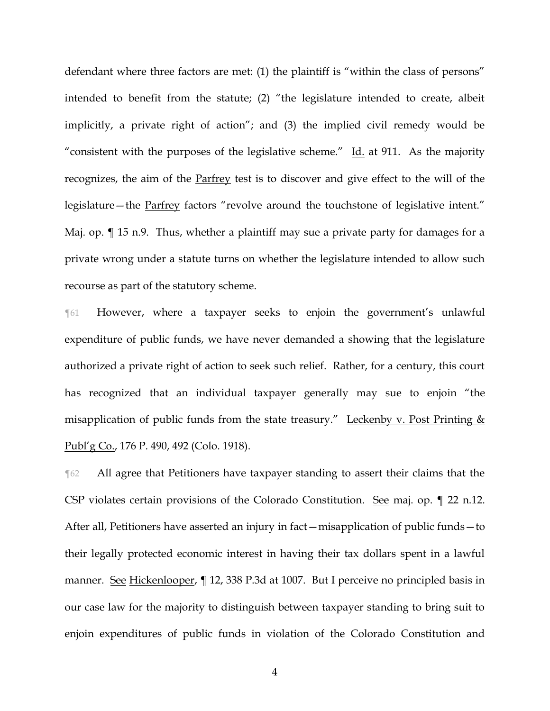defendant where three factors are met: (1) the plaintiff is "within the class of persons" intended to benefit from the statute; (2) "the legislature intended to create, albeit implicitly, a private right of action"; and (3) the implied civil remedy would be "consistent with the purposes of the legislative scheme."  $\underline{Id}$  at 911. As the majority recognizes, the aim of the **Parfrey** test is to discover and give effect to the will of the legislature—the Parfrey factors "revolve around the touchstone of legislative intent." Maj. op.  $\P$  15 n.9. Thus, whether a plaintiff may sue a private party for damages for a private wrong under a statute turns on whether the legislature intended to allow such recourse as part of the statutory scheme.

¶61 However, where a taxpayer seeks to enjoin the government's unlawful expenditure of public funds, we have never demanded a showing that the legislature authorized a private right of action to seek such relief. Rather, for a century, this court has recognized that an individual taxpayer generally may sue to enjoin "the misapplication of public funds from the state treasury." Leckenby v. Post Printing  $&$ Publ'g Co., 176 P. 490, 492 (Colo. 1918).

¶62 All agree that Petitioners have taxpayer standing to assert their claims that the CSP violates certain provisions of the Colorado Constitution. See maj. op. ¶ 22 n.12. After all, Petitioners have asserted an injury in fact—misapplication of public funds—to their legally protected economic interest in having their tax dollars spent in a lawful manner. See Hickenlooper, ¶ 12, 338 P.3d at 1007. But I perceive no principled basis in our case law for the majority to distinguish between taxpayer standing to bring suit to enjoin expenditures of public funds in violation of the Colorado Constitution and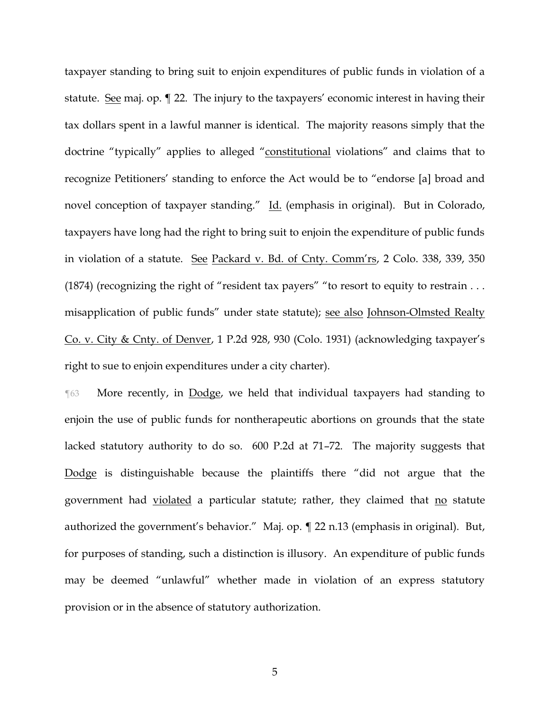taxpayer standing to bring suit to enjoin expenditures of public funds in violation of a statute. See maj. op. ¶ 22. The injury to the taxpayers' economic interest in having their tax dollars spent in a lawful manner is identical. The majority reasons simply that the doctrine "typically" applies to alleged "constitutional violations" and claims that to recognize Petitioners' standing to enforce the Act would be to "endorse [a] broad and novel conception of taxpayer standing." Id. (emphasis in original). But in Colorado, taxpayers have long had the right to bring suit to enjoin the expenditure of public funds in violation of a statute. See Packard v. Bd. of Cnty. Comm'rs, 2 Colo. 338, 339, 350 (1874) (recognizing the right of "resident tax payers" "to resort to equity to restrain . . . misapplication of public funds" under state statute); see also Johnson-Olmsted Realty Co. v. City & Cnty. of Denver, 1 P.2d 928, 930 (Colo. 1931) (acknowledging taxpayer's right to sue to enjoin expenditures under a city charter).

**The Step More recently, in Dodge, we held that individual taxpayers had standing to** enjoin the use of public funds for nontherapeutic abortions on grounds that the state lacked statutory authority to do so. 600 P.2d at 71–72. The majority suggests that Dodge is distinguishable because the plaintiffs there "did not argue that the government had violated a particular statute; rather, they claimed that no statute authorized the government's behavior." Maj. op. ¶ 22 n.13 (emphasis in original). But, for purposes of standing, such a distinction is illusory. An expenditure of public funds may be deemed "unlawful" whether made in violation of an express statutory provision or in the absence of statutory authorization.

5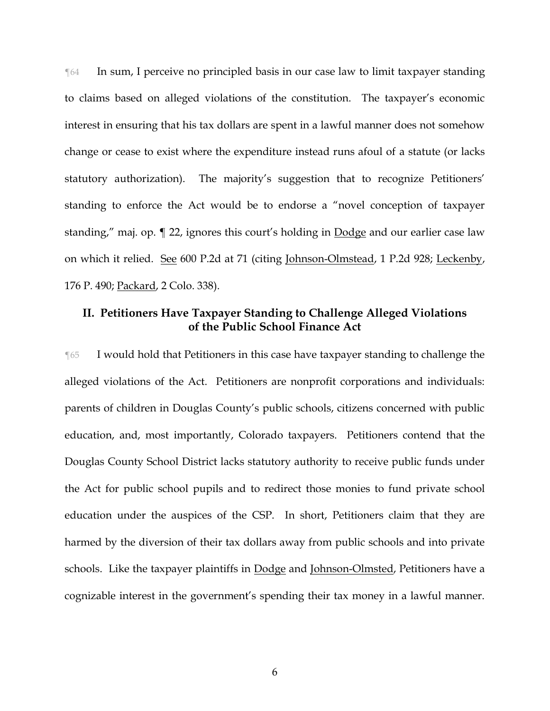¶64 In sum, I perceive no principled basis in our case law to limit taxpayer standing to claims based on alleged violations of the constitution. The taxpayer's economic interest in ensuring that his tax dollars are spent in a lawful manner does not somehow change or cease to exist where the expenditure instead runs afoul of a statute (or lacks statutory authorization). The majority's suggestion that to recognize Petitioners' standing to enforce the Act would be to endorse a "novel conception of taxpayer standing," maj. op. ¶ 22, ignores this court's holding in Dodge and our earlier case law on which it relied. See 600 P.2d at 71 (citing Johnson-Olmstead, 1 P.2d 928; Leckenby, 176 P. 490; Packard, 2 Colo. 338).

# **II. Petitioners Have Taxpayer Standing to Challenge Alleged Violations of the Public School Finance Act**

¶65 I would hold that Petitioners in this case have taxpayer standing to challenge the alleged violations of the Act. Petitioners are nonprofit corporations and individuals: parents of children in Douglas County's public schools, citizens concerned with public education, and, most importantly, Colorado taxpayers. Petitioners contend that the Douglas County School District lacks statutory authority to receive public funds under the Act for public school pupils and to redirect those monies to fund private school education under the auspices of the CSP. In short, Petitioners claim that they are harmed by the diversion of their tax dollars away from public schools and into private schools. Like the taxpayer plaintiffs in Dodge and Johnson-Olmsted, Petitioners have a cognizable interest in the government's spending their tax money in a lawful manner.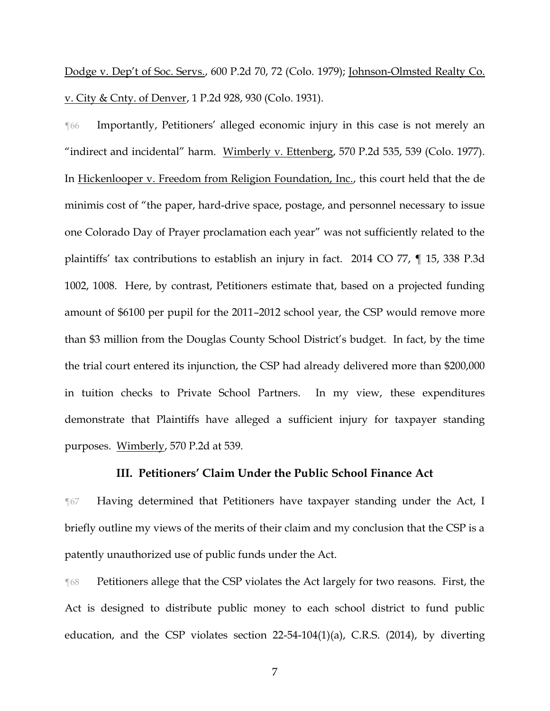Dodge v. Dep't of Soc. Servs., 600 P.2d 70, 72 (Colo. 1979); Johnson-Olmsted Realty Co. v. City & Cnty. of Denver, 1 P.2d 928, 930 (Colo. 1931).

¶66 Importantly, Petitioners' alleged economic injury in this case is not merely an "indirect and incidental" harm. Wimberly v. Ettenberg, 570 P.2d 535, 539 (Colo. 1977). In Hickenlooper v. Freedom from Religion Foundation, Inc., this court held that the de minimis cost of "the paper, hard-drive space, postage, and personnel necessary to issue one Colorado Day of Prayer proclamation each year" was not sufficiently related to the plaintiffs' tax contributions to establish an injury in fact. 2014 CO 77, ¶ 15, 338 P.3d 1002, 1008. Here, by contrast, Petitioners estimate that, based on a projected funding amount of \$6100 per pupil for the 2011–2012 school year, the CSP would remove more than \$3 million from the Douglas County School District's budget. In fact, by the time the trial court entered its injunction, the CSP had already delivered more than \$200,000 in tuition checks to Private School Partners. In my view, these expenditures demonstrate that Plaintiffs have alleged a sufficient injury for taxpayer standing purposes. Wimberly, 570 P.2d at 539.

### **III. Petitioners' Claim Under the Public School Finance Act**

¶67 Having determined that Petitioners have taxpayer standing under the Act, I briefly outline my views of the merits of their claim and my conclusion that the CSP is a patently unauthorized use of public funds under the Act.

¶68 Petitioners allege that the CSP violates the Act largely for two reasons. First, the Act is designed to distribute public money to each school district to fund public education, and the CSP violates section 22-54-104(1)(a), C.R.S. (2014), by diverting

7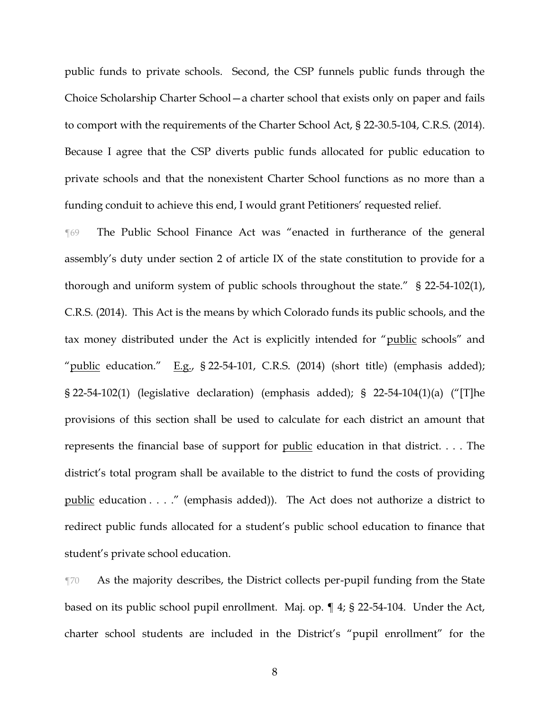public funds to private schools. Second, the CSP funnels public funds through the Choice Scholarship Charter School—a charter school that exists only on paper and fails to comport with the requirements of the Charter School Act, § 22-30.5-104, C.R.S. (2014). Because I agree that the CSP diverts public funds allocated for public education to private schools and that the nonexistent Charter School functions as no more than a funding conduit to achieve this end, I would grant Petitioners' requested relief.

¶69 The Public School Finance Act was "enacted in furtherance of the general assembly's duty under section 2 of article IX of the state constitution to provide for a thorough and uniform system of public schools throughout the state." § 22-54-102(1), C.R.S. (2014). This Act is the means by which Colorado funds its public schools, and the tax money distributed under the Act is explicitly intended for "public schools" and "public education." E.g.,  $\S$  22-54-101, C.R.S. (2014) (short title) (emphasis added); § 22-54-102(1) (legislative declaration) (emphasis added); § 22-54-104(1)(a) ("[T]he provisions of this section shall be used to calculate for each district an amount that represents the financial base of support for public education in that district. . . . The district's total program shall be available to the district to fund the costs of providing public education . . . ." (emphasis added)). The Act does not authorize a district to redirect public funds allocated for a student's public school education to finance that student's private school education.

¶70 As the majority describes, the District collects per-pupil funding from the State based on its public school pupil enrollment. Maj. op. ¶ 4; § 22-54-104. Under the Act, charter school students are included in the District's "pupil enrollment" for the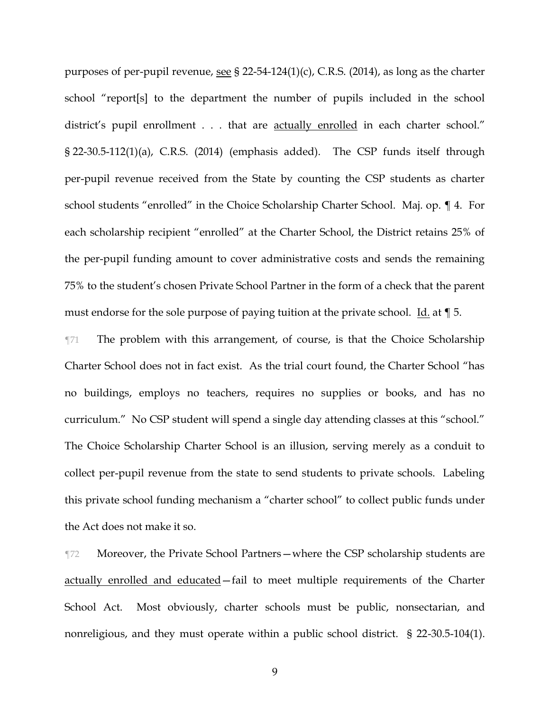purposes of per-pupil revenue, see § 22-54-124(1)(c), C.R.S. (2014), as long as the charter school "report[s] to the department the number of pupils included in the school district's pupil enrollment . . . that are actually enrolled in each charter school." § 22-30.5-112(1)(a), C.R.S. (2014) (emphasis added). The CSP funds itself through per-pupil revenue received from the State by counting the CSP students as charter school students "enrolled" in the Choice Scholarship Charter School. Maj. op. ¶ 4. For each scholarship recipient "enrolled" at the Charter School, the District retains 25% of the per-pupil funding amount to cover administrative costs and sends the remaining 75% to the student's chosen Private School Partner in the form of a check that the parent must endorse for the sole purpose of paying tuition at the private school. Id. at ¶ 5.

¶71 The problem with this arrangement, of course, is that the Choice Scholarship Charter School does not in fact exist. As the trial court found, the Charter School "has no buildings, employs no teachers, requires no supplies or books, and has no curriculum." No CSP student will spend a single day attending classes at this "school." The Choice Scholarship Charter School is an illusion, serving merely as a conduit to collect per-pupil revenue from the state to send students to private schools. Labeling this private school funding mechanism a "charter school" to collect public funds under the Act does not make it so.

¶72 Moreover, the Private School Partners—where the CSP scholarship students are actually enrolled and educated—fail to meet multiple requirements of the Charter School Act. Most obviously, charter schools must be public, nonsectarian, and nonreligious, and they must operate within a public school district. § 22-30.5-104(1).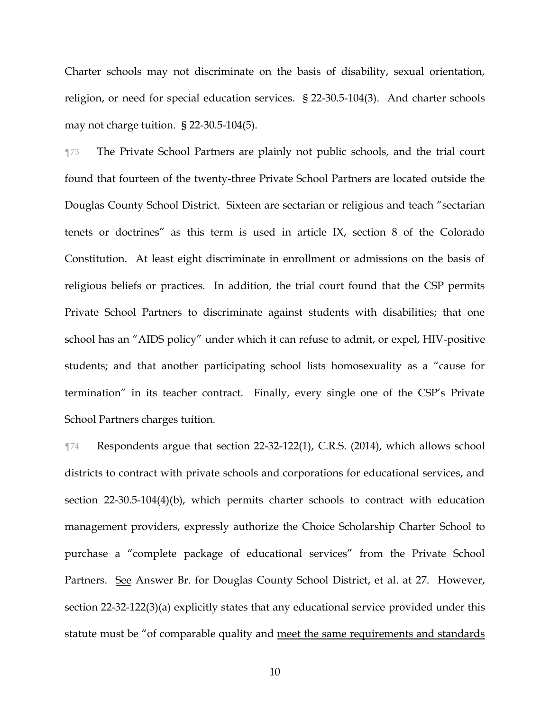Charter schools may not discriminate on the basis of disability, sexual orientation, religion, or need for special education services. § 22-30.5-104(3). And charter schools may not charge tuition. § 22-30.5-104(5).

¶73 The Private School Partners are plainly not public schools, and the trial court found that fourteen of the twenty-three Private School Partners are located outside the Douglas County School District. Sixteen are sectarian or religious and teach "sectarian tenets or doctrines" as this term is used in article IX, section 8 of the Colorado Constitution. At least eight discriminate in enrollment or admissions on the basis of religious beliefs or practices. In addition, the trial court found that the CSP permits Private School Partners to discriminate against students with disabilities; that one school has an "AIDS policy" under which it can refuse to admit, or expel, HIV-positive students; and that another participating school lists homosexuality as a "cause for termination" in its teacher contract. Finally, every single one of the CSP's Private School Partners charges tuition.

¶74 Respondents argue that section 22-32-122(1), C.R.S. (2014), which allows school districts to contract with private schools and corporations for educational services, and section 22-30.5-104(4)(b), which permits charter schools to contract with education management providers, expressly authorize the Choice Scholarship Charter School to purchase a "complete package of educational services" from the Private School Partners. See Answer Br. for Douglas County School District, et al. at 27. However, section 22-32-122(3)(a) explicitly states that any educational service provided under this statute must be "of comparable quality and meet the same requirements and standards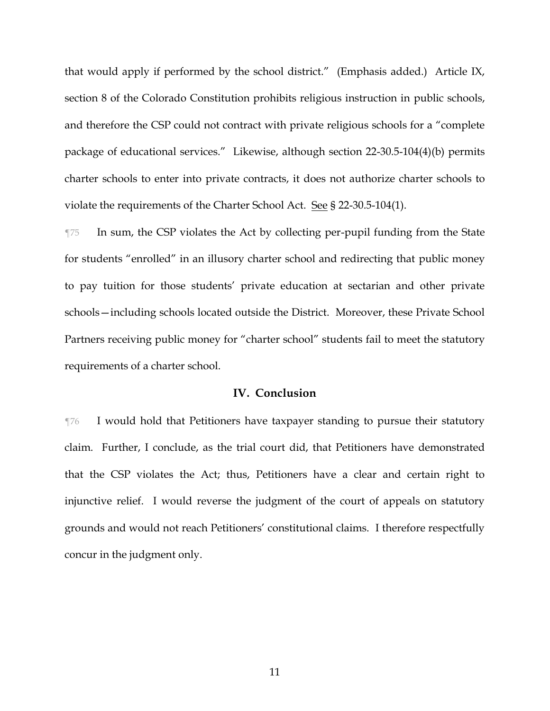that would apply if performed by the school district." (Emphasis added.) Article IX, section 8 of the Colorado Constitution prohibits religious instruction in public schools, and therefore the CSP could not contract with private religious schools for a "complete package of educational services." Likewise, although section 22-30.5-104(4)(b) permits charter schools to enter into private contracts, it does not authorize charter schools to violate the requirements of the Charter School Act. See § 22-30.5-104(1).

¶75 In sum, the CSP violates the Act by collecting per-pupil funding from the State for students "enrolled" in an illusory charter school and redirecting that public money to pay tuition for those students' private education at sectarian and other private schools—including schools located outside the District. Moreover, these Private School Partners receiving public money for "charter school" students fail to meet the statutory requirements of a charter school.

### **IV. Conclusion**

¶76 I would hold that Petitioners have taxpayer standing to pursue their statutory claim. Further, I conclude, as the trial court did, that Petitioners have demonstrated that the CSP violates the Act; thus, Petitioners have a clear and certain right to injunctive relief. I would reverse the judgment of the court of appeals on statutory grounds and would not reach Petitioners' constitutional claims. I therefore respectfully concur in the judgment only.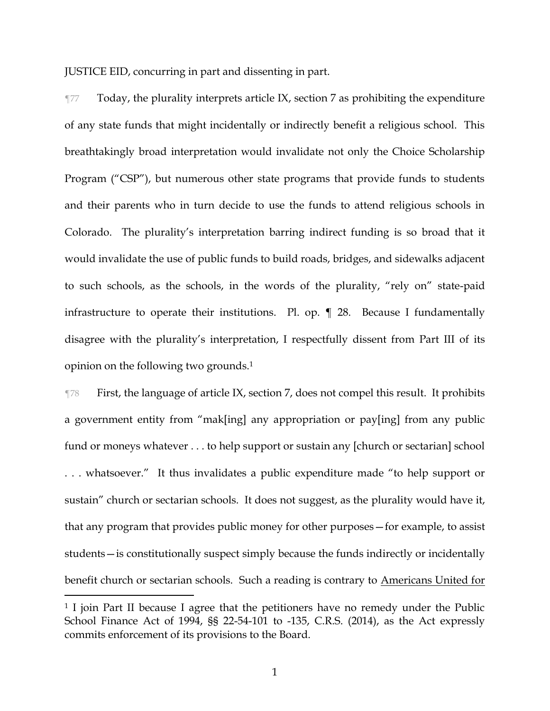JUSTICE EID, concurring in part and dissenting in part.

¶77 Today, the plurality interprets article IX, section 7 as prohibiting the expenditure of any state funds that might incidentally or indirectly benefit a religious school. This breathtakingly broad interpretation would invalidate not only the Choice Scholarship Program ("CSP"), but numerous other state programs that provide funds to students and their parents who in turn decide to use the funds to attend religious schools in Colorado. The plurality's interpretation barring indirect funding is so broad that it would invalidate the use of public funds to build roads, bridges, and sidewalks adjacent to such schools, as the schools, in the words of the plurality, "rely on" state-paid infrastructure to operate their institutions. Pl. op. ¶ 28. Because I fundamentally disagree with the plurality's interpretation, I respectfully dissent from Part III of its opinion on the following two grounds.<sup>1</sup>

¶78 First, the language of article IX, section 7, does not compel this result. It prohibits a government entity from "mak[ing] any appropriation or pay[ing] from any public fund or moneys whatever . . . to help support or sustain any [church or sectarian] school . . . whatsoever." It thus invalidates a public expenditure made "to help support or sustain" church or sectarian schools. It does not suggest, as the plurality would have it, that any program that provides public money for other purposes—for example, to assist students—is constitutionally suspect simply because the funds indirectly or incidentally benefit church or sectarian schools. Such a reading is contrary to Americans United for

<sup>&</sup>lt;sup>1</sup> I join Part II because I agree that the petitioners have no remedy under the Public School Finance Act of 1994, §§ 22-54-101 to -135, C.R.S. (2014), as the Act expressly commits enforcement of its provisions to the Board.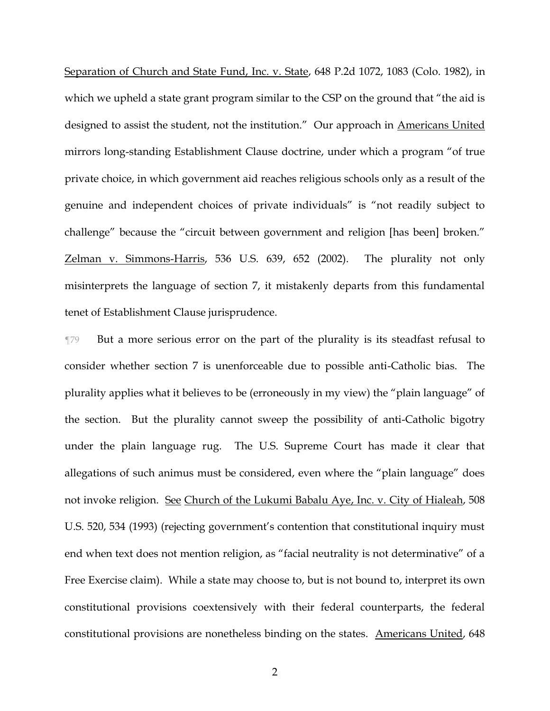Separation of Church and State Fund, Inc. v. State, 648 P.2d 1072, 1083 (Colo. 1982), in which we upheld a state grant program similar to the CSP on the ground that "the aid is designed to assist the student, not the institution." Our approach in Americans United mirrors long-standing Establishment Clause doctrine, under which a program "of true private choice, in which government aid reaches religious schools only as a result of the genuine and independent choices of private individuals" is "not readily subject to challenge" because the "circuit between government and religion [has been] broken." Zelman v. Simmons-Harris, 536 U.S. 639, 652 (2002). The plurality not only misinterprets the language of section 7, it mistakenly departs from this fundamental tenet of Establishment Clause jurisprudence.

¶79 But a more serious error on the part of the plurality is its steadfast refusal to consider whether section 7 is unenforceable due to possible anti-Catholic bias. The plurality applies what it believes to be (erroneously in my view) the "plain language" of the section. But the plurality cannot sweep the possibility of anti-Catholic bigotry under the plain language rug. The U.S. Supreme Court has made it clear that allegations of such animus must be considered, even where the "plain language" does not invoke religion. See Church of the Lukumi Babalu Aye, Inc. v. City of Hialeah, 508 U.S. 520, 534 (1993) (rejecting government's contention that constitutional inquiry must end when text does not mention religion, as "facial neutrality is not determinative" of a Free Exercise claim). While a state may choose to, but is not bound to, interpret its own constitutional provisions coextensively with their federal counterparts, the federal constitutional provisions are nonetheless binding on the states. Americans United, 648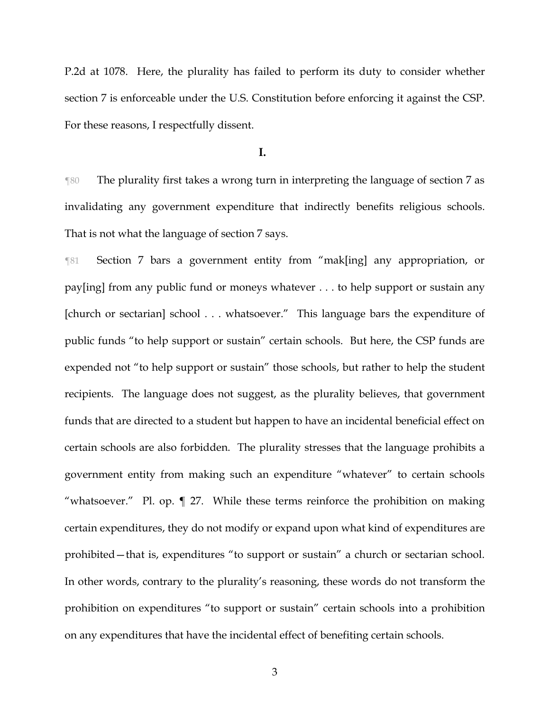P.2d at 1078. Here, the plurality has failed to perform its duty to consider whether section 7 is enforceable under the U.S. Constitution before enforcing it against the CSP. For these reasons, I respectfully dissent.

**I.**

¶80 The plurality first takes a wrong turn in interpreting the language of section 7 as invalidating any government expenditure that indirectly benefits religious schools. That is not what the language of section 7 says.

¶81 Section 7 bars a government entity from "mak[ing] any appropriation, or pay[ing] from any public fund or moneys whatever . . . to help support or sustain any [church or sectarian] school . . . whatsoever." This language bars the expenditure of public funds "to help support or sustain" certain schools. But here, the CSP funds are expended not "to help support or sustain" those schools, but rather to help the student recipients. The language does not suggest, as the plurality believes, that government funds that are directed to a student but happen to have an incidental beneficial effect on certain schools are also forbidden. The plurality stresses that the language prohibits a government entity from making such an expenditure "whatever" to certain schools "whatsoever." Pl. op. ¶ 27. While these terms reinforce the prohibition on making certain expenditures, they do not modify or expand upon what kind of expenditures are prohibited—that is, expenditures "to support or sustain" a church or sectarian school. In other words, contrary to the plurality's reasoning, these words do not transform the prohibition on expenditures "to support or sustain" certain schools into a prohibition on any expenditures that have the incidental effect of benefiting certain schools.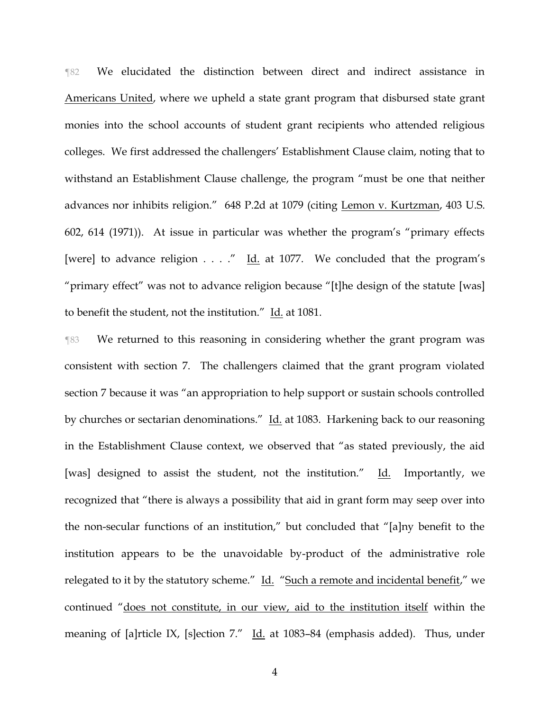¶82 We elucidated the distinction between direct and indirect assistance in Americans United, where we upheld a state grant program that disbursed state grant monies into the school accounts of student grant recipients who attended religious colleges. We first addressed the challengers' Establishment Clause claim, noting that to withstand an Establishment Clause challenge, the program "must be one that neither advances nor inhibits religion." 648 P.2d at 1079 (citing Lemon v. Kurtzman, 403 U.S. 602, 614 (1971)). At issue in particular was whether the program's "primary effects [were] to advance religion  $\ldots$ ." Id. at 1077. We concluded that the program's "primary effect" was not to advance religion because "[t]he design of the statute [was] to benefit the student, not the institution." Id. at 1081.

¶83 We returned to this reasoning in considering whether the grant program was consistent with section 7. The challengers claimed that the grant program violated section 7 because it was "an appropriation to help support or sustain schools controlled by churches or sectarian denominations." Id. at 1083. Harkening back to our reasoning in the Establishment Clause context, we observed that "as stated previously, the aid [was] designed to assist the student, not the institution." Id. Importantly, we recognized that "there is always a possibility that aid in grant form may seep over into the non-secular functions of an institution," but concluded that "[a]ny benefit to the institution appears to be the unavoidable by-product of the administrative role relegated to it by the statutory scheme." Id. "Such a remote and incidental benefit," we continued "does not constitute, in our view, aid to the institution itself within the meaning of [a]rticle IX, [s]ection 7." Id. at 1083-84 (emphasis added). Thus, under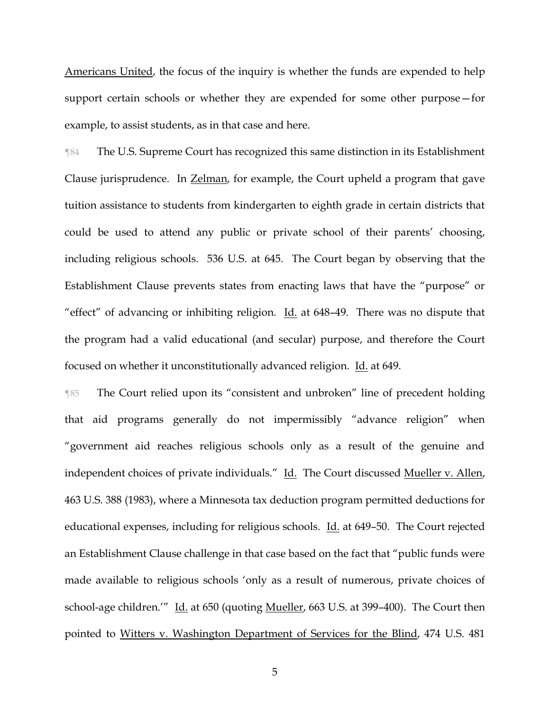Americans United, the focus of the inquiry is whether the funds are expended to help support certain schools or whether they are expended for some other purpose—for example, to assist students, as in that case and here.

¶84 The U.S. Supreme Court has recognized this same distinction in its Establishment Clause jurisprudence. In Zelman, for example, the Court upheld a program that gave tuition assistance to students from kindergarten to eighth grade in certain districts that could be used to attend any public or private school of their parents' choosing, including religious schools. 536 U.S. at 645. The Court began by observing that the Establishment Clause prevents states from enacting laws that have the "purpose" or "effect" of advancing or inhibiting religion. Id. at 648–49. There was no dispute that the program had a valid educational (and secular) purpose, and therefore the Court focused on whether it unconstitutionally advanced religion. Id. at 649.

¶85 The Court relied upon its "consistent and unbroken" line of precedent holding that aid programs generally do not impermissibly "advance religion" when "government aid reaches religious schools only as a result of the genuine and independent choices of private individuals." Id. The Court discussed Mueller v. Allen, 463 U.S. 388 (1983), where a Minnesota tax deduction program permitted deductions for educational expenses, including for religious schools. Id. at 649–50. The Court rejected an Establishment Clause challenge in that case based on the fact that "public funds were made available to religious schools 'only as a result of numerous, private choices of school-age children.'" Id. at 650 (quoting Mueller, 663 U.S. at 399–400). The Court then pointed to Witters v. Washington Department of Services for the Blind, 474 U.S. 481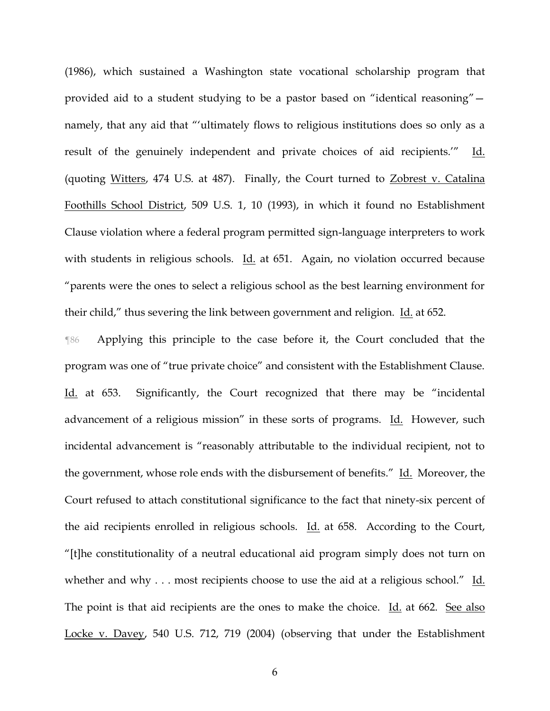(1986), which sustained a Washington state vocational scholarship program that provided aid to a student studying to be a pastor based on "identical reasoning" namely, that any aid that "'ultimately flows to religious institutions does so only as a result of the genuinely independent and private choices of aid recipients.'" Id. (quoting Witters, 474 U.S. at 487). Finally, the Court turned to Zobrest v. Catalina Foothills School District, 509 U.S. 1, 10 (1993), in which it found no Establishment Clause violation where a federal program permitted sign-language interpreters to work with students in religious schools. Id. at 651. Again, no violation occurred because "parents were the ones to select a religious school as the best learning environment for their child," thus severing the link between government and religion. Id. at 652.

¶86 Applying this principle to the case before it, the Court concluded that the program was one of "true private choice" and consistent with the Establishment Clause. Id. at 653. Significantly, the Court recognized that there may be "incidental advancement of a religious mission" in these sorts of programs. Id. However, such incidental advancement is "reasonably attributable to the individual recipient, not to the government, whose role ends with the disbursement of benefits." Id. Moreover, the Court refused to attach constitutional significance to the fact that ninety-six percent of the aid recipients enrolled in religious schools. Id. at 658. According to the Court, "[t]he constitutionality of a neutral educational aid program simply does not turn on whether and why  $\dots$  most recipients choose to use the aid at a religious school." Id. The point is that aid recipients are the ones to make the choice. Id. at 662. See also Locke v. Davey, 540 U.S. 712, 719 (2004) (observing that under the Establishment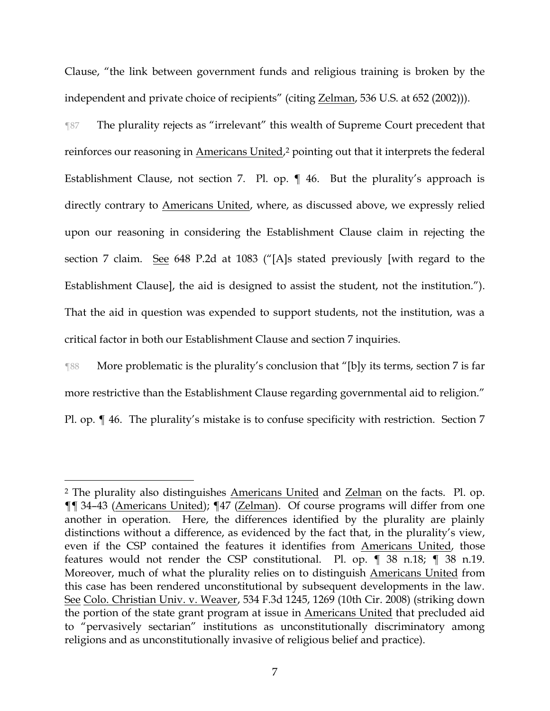Clause, "the link between government funds and religious training is broken by the independent and private choice of recipients" (citing Zelman, 536 U.S. at 652 (2002))).

¶87 The plurality rejects as "irrelevant" this wealth of Supreme Court precedent that reinforces our reasoning in Americans United,<sup>2</sup> pointing out that it interprets the federal Establishment Clause, not section 7. Pl. op. ¶ 46. But the plurality's approach is directly contrary to Americans United, where, as discussed above, we expressly relied upon our reasoning in considering the Establishment Clause claim in rejecting the section 7 claim. See 648 P.2d at 1083 ("[A]s stated previously [with regard to the Establishment Clause], the aid is designed to assist the student, not the institution."). That the aid in question was expended to support students, not the institution, was a critical factor in both our Establishment Clause and section 7 inquiries.

¶88 More problematic is the plurality's conclusion that "[b]y its terms, section 7 is far more restrictive than the Establishment Clause regarding governmental aid to religion." Pl. op. ¶ 46. The plurality's mistake is to confuse specificity with restriction. Section 7

<sup>&</sup>lt;sup>2</sup> The plurality also distinguishes <u>Americans United</u> and <u>Zelman</u> on the facts. Pl. op. ¶¶ 34–43 (Americans United); ¶47 (Zelman). Of course programs will differ from one another in operation. Here, the differences identified by the plurality are plainly distinctions without a difference, as evidenced by the fact that, in the plurality's view, even if the CSP contained the features it identifies from Americans United, those features would not render the CSP constitutional. Pl. op. ¶ 38 n.18; ¶ 38 n.19. Moreover, much of what the plurality relies on to distinguish Americans United from this case has been rendered unconstitutional by subsequent developments in the law. See Colo. Christian Univ. v. Weaver, 534 F.3d 1245, 1269 (10th Cir. 2008) (striking down the portion of the state grant program at issue in Americans United that precluded aid to "pervasively sectarian" institutions as unconstitutionally discriminatory among religions and as unconstitutionally invasive of religious belief and practice).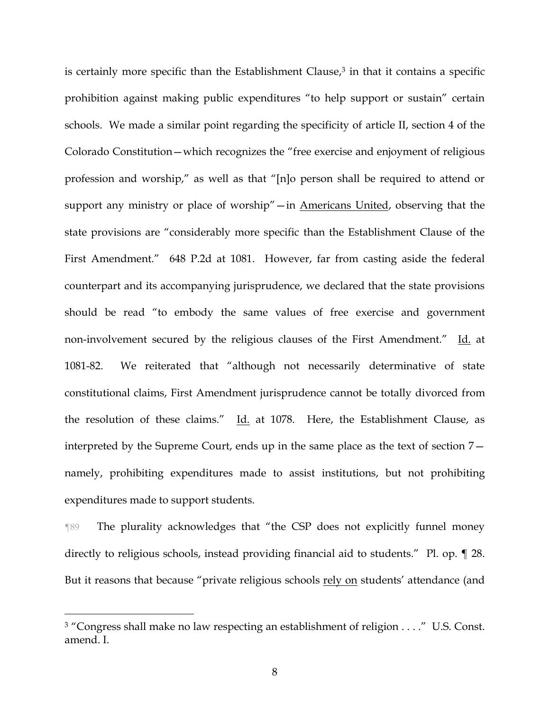is certainly more specific than the Establishment Clause, $3$  in that it contains a specific prohibition against making public expenditures "to help support or sustain" certain schools. We made a similar point regarding the specificity of article II, section 4 of the Colorado Constitution—which recognizes the "free exercise and enjoyment of religious profession and worship," as well as that "[n]o person shall be required to attend or support any ministry or place of worship"—in Americans United, observing that the state provisions are "considerably more specific than the Establishment Clause of the First Amendment." 648 P.2d at 1081. However, far from casting aside the federal counterpart and its accompanying jurisprudence, we declared that the state provisions should be read "to embody the same values of free exercise and government non-involvement secured by the religious clauses of the First Amendment." Id. at 1081-82. We reiterated that "although not necessarily determinative of state constitutional claims, First Amendment jurisprudence cannot be totally divorced from the resolution of these claims." Id. at 1078. Here, the Establishment Clause, as interpreted by the Supreme Court, ends up in the same place as the text of section 7 namely, prohibiting expenditures made to assist institutions, but not prohibiting expenditures made to support students.

¶89 The plurality acknowledges that "the CSP does not explicitly funnel money directly to religious schools, instead providing financial aid to students." Pl. op. ¶ 28. But it reasons that because "private religious schools rely on students' attendance (and

<sup>&</sup>lt;sup>3</sup> "Congress shall make no law respecting an establishment of religion . . . ." U.S. Const. amend. I.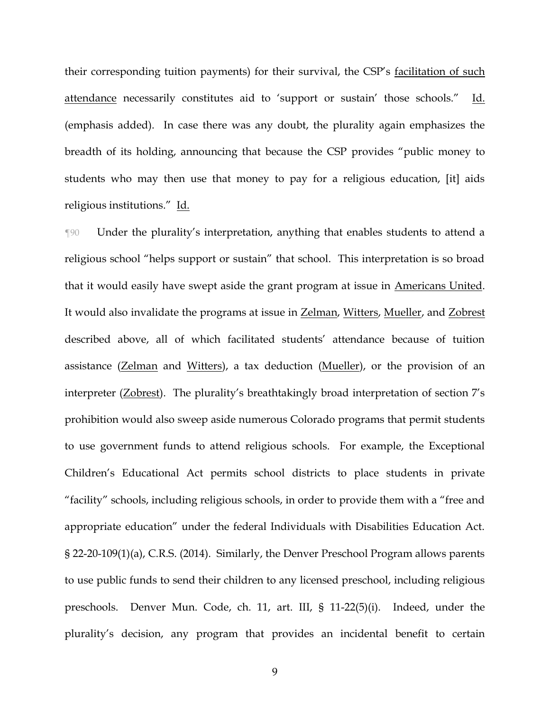their corresponding tuition payments) for their survival, the CSP's facilitation of such attendance necessarily constitutes aid to 'support or sustain' those schools." Id. (emphasis added). In case there was any doubt, the plurality again emphasizes the breadth of its holding, announcing that because the CSP provides "public money to students who may then use that money to pay for a religious education, [it] aids religious institutions." Id.

¶90 Under the plurality's interpretation, anything that enables students to attend a religious school "helps support or sustain" that school. This interpretation is so broad that it would easily have swept aside the grant program at issue in Americans United. It would also invalidate the programs at issue in Zelman, Witters, Mueller, and Zobrest described above, all of which facilitated students' attendance because of tuition assistance (Zelman and Witters), a tax deduction (Mueller), or the provision of an interpreter (Zobrest). The plurality's breathtakingly broad interpretation of section 7's prohibition would also sweep aside numerous Colorado programs that permit students to use government funds to attend religious schools. For example, the Exceptional Children's Educational Act permits school districts to place students in private "facility" schools, including religious schools, in order to provide them with a "free and appropriate education" under the federal Individuals with Disabilities Education Act. § 22-20-109(1)(a), C.R.S. (2014). Similarly, the Denver Preschool Program allows parents to use public funds to send their children to any licensed preschool, including religious preschools. Denver Mun. Code, ch. 11, art. III, § 11-22(5)(i). Indeed, under the plurality's decision, any program that provides an incidental benefit to certain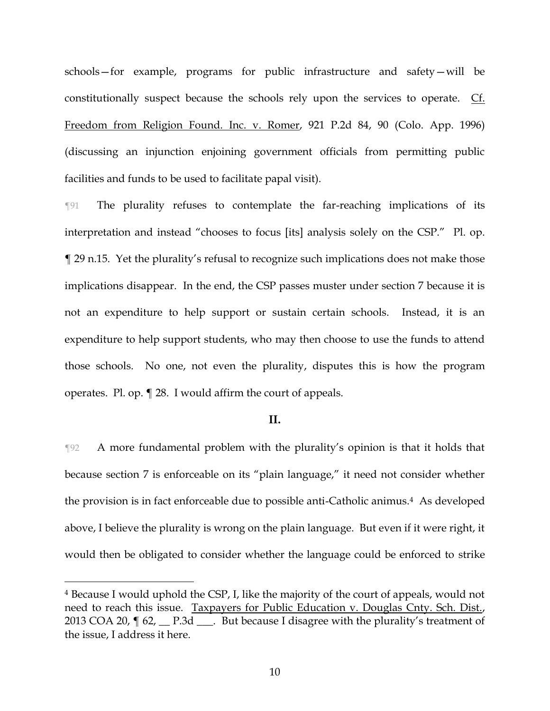schools—for example, programs for public infrastructure and safety—will be constitutionally suspect because the schools rely upon the services to operate. Cf. Freedom from Religion Found. Inc. v. Romer, 921 P.2d 84, 90 (Colo. App. 1996) (discussing an injunction enjoining government officials from permitting public facilities and funds to be used to facilitate papal visit).

¶91 The plurality refuses to contemplate the far-reaching implications of its interpretation and instead "chooses to focus [its] analysis solely on the CSP." Pl. op. ¶ 29 n.15. Yet the plurality's refusal to recognize such implications does not make those implications disappear. In the end, the CSP passes muster under section 7 because it is not an expenditure to help support or sustain certain schools. Instead, it is an expenditure to help support students, who may then choose to use the funds to attend those schools. No one, not even the plurality, disputes this is how the program operates. Pl. op. ¶ 28. I would affirm the court of appeals.

### **II.**

¶92 A more fundamental problem with the plurality's opinion is that it holds that because section 7 is enforceable on its "plain language," it need not consider whether the provision is in fact enforceable due to possible anti-Catholic animus.4 As developed above, I believe the plurality is wrong on the plain language. But even if it were right, it would then be obligated to consider whether the language could be enforced to strike

<sup>4</sup> Because I would uphold the CSP, I, like the majority of the court of appeals, would not need to reach this issue. Taxpayers for Public Education v. Douglas Cnty. Sch. Dist., 2013 COA 20,  $\sqrt{ }$  62,  $\sqrt{ }$  P.3d  $\sqrt{ }$ . But because I disagree with the plurality's treatment of the issue, I address it here.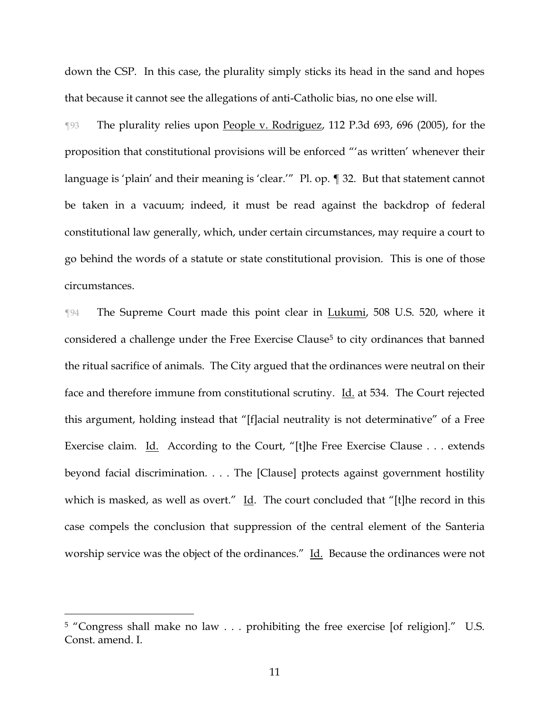down the CSP. In this case, the plurality simply sticks its head in the sand and hopes that because it cannot see the allegations of anti-Catholic bias, no one else will.

¶93 The plurality relies upon People v. Rodriguez, 112 P.3d 693, 696 (2005), for the proposition that constitutional provisions will be enforced "'as written' whenever their language is 'plain' and their meaning is 'clear.'" Pl. op. ¶ 32. But that statement cannot be taken in a vacuum; indeed, it must be read against the backdrop of federal constitutional law generally, which, under certain circumstances, may require a court to go behind the words of a statute or state constitutional provision. This is one of those circumstances.

¶94 The Supreme Court made this point clear in Lukumi, 508 U.S. 520, where it considered a challenge under the Free Exercise Clause<sup>5</sup> to city ordinances that banned the ritual sacrifice of animals. The City argued that the ordinances were neutral on their face and therefore immune from constitutional scrutiny. Id. at 534. The Court rejected this argument, holding instead that "[f]acial neutrality is not determinative" of a Free Exercise claim. Id. According to the Court, "[t]he Free Exercise Clause . . . extends beyond facial discrimination. . . . The [Clause] protects against government hostility which is masked, as well as overt." Id. The court concluded that "[t]he record in this case compels the conclusion that suppression of the central element of the Santeria worship service was the object of the ordinances." Id. Because the ordinances were not

<sup>5</sup> "Congress shall make no law . . . prohibiting the free exercise [of religion]." U.S. Const. amend. I.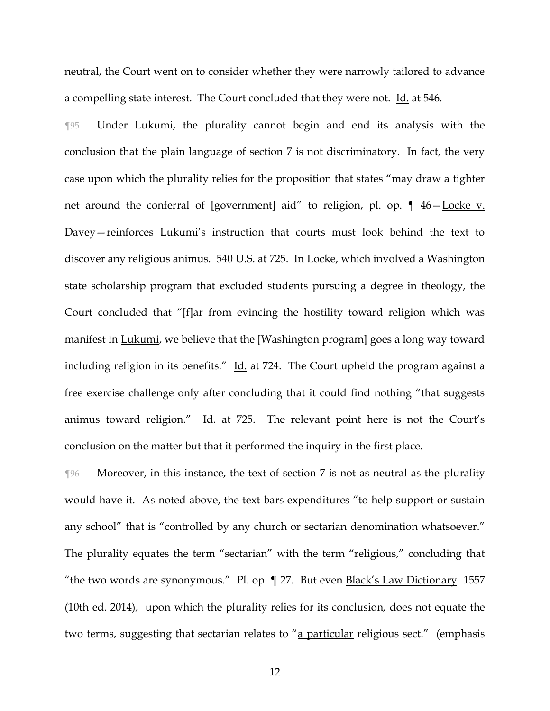neutral, the Court went on to consider whether they were narrowly tailored to advance a compelling state interest. The Court concluded that they were not. Id. at 546.

¶95 Under Lukumi, the plurality cannot begin and end its analysis with the conclusion that the plain language of section 7 is not discriminatory. In fact, the very case upon which the plurality relies for the proposition that states "may draw a tighter net around the conferral of [government] aid" to religion, pl. op. ¶ 46-Locke v. Davey—reinforces Lukumi's instruction that courts must look behind the text to discover any religious animus. 540 U.S. at 725. In Locke, which involved a Washington state scholarship program that excluded students pursuing a degree in theology, the Court concluded that "[f]ar from evincing the hostility toward religion which was manifest in Lukumi, we believe that the [Washington program] goes a long way toward including religion in its benefits." Id. at 724. The Court upheld the program against a free exercise challenge only after concluding that it could find nothing "that suggests animus toward religion." Id. at 725. The relevant point here is not the Court's conclusion on the matter but that it performed the inquiry in the first place.

¶96 Moreover, in this instance, the text of section 7 is not as neutral as the plurality would have it. As noted above, the text bars expenditures "to help support or sustain any school" that is "controlled by any church or sectarian denomination whatsoever." The plurality equates the term "sectarian" with the term "religious," concluding that "the two words are synonymous." Pl. op. ¶ 27. But even Black's Law Dictionary 1557 (10th ed. 2014), upon which the plurality relies for its conclusion, does not equate the two terms, suggesting that sectarian relates to "a particular religious sect." (emphasis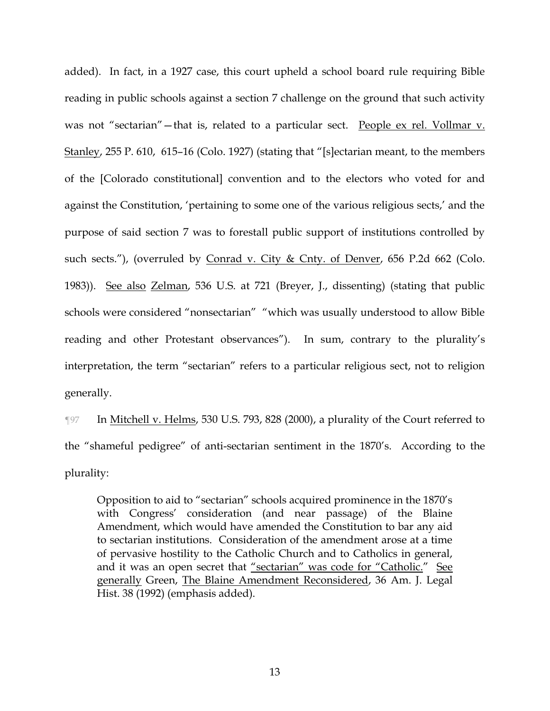added). In fact, in a 1927 case, this court upheld a school board rule requiring Bible reading in public schools against a section 7 challenge on the ground that such activity was not "sectarian"—that is, related to a particular sect. People ex rel. Vollmar v. Stanley, 255 P. 610, 615-16 (Colo. 1927) (stating that "[s]ectarian meant, to the members of the [Colorado constitutional] convention and to the electors who voted for and against the Constitution, 'pertaining to some one of the various religious sects,' and the purpose of said section 7 was to forestall public support of institutions controlled by such sects."), (overruled by Conrad v. City & Cnty. of Denver, 656 P.2d 662 (Colo. 1983)). See also Zelman, 536 U.S. at 721 (Breyer, J., dissenting) (stating that public schools were considered "nonsectarian" "which was usually understood to allow Bible reading and other Protestant observances"). In sum, contrary to the plurality's interpretation, the term "sectarian" refers to a particular religious sect, not to religion generally.

¶97 In Mitchell v. Helms, 530 U.S. 793, 828 (2000), a plurality of the Court referred to the "shameful pedigree" of anti-sectarian sentiment in the 1870's. According to the plurality:

Opposition to aid to "sectarian" schools acquired prominence in the 1870's with Congress' consideration (and near passage) of the Blaine Amendment, which would have amended the Constitution to bar any aid to sectarian institutions. Consideration of the amendment arose at a time of pervasive hostility to the Catholic Church and to Catholics in general, and it was an open secret that "sectarian" was code for "Catholic." See generally Green, The Blaine Amendment Reconsidered, 36 Am. J. Legal Hist. 38 (1992) (emphasis added).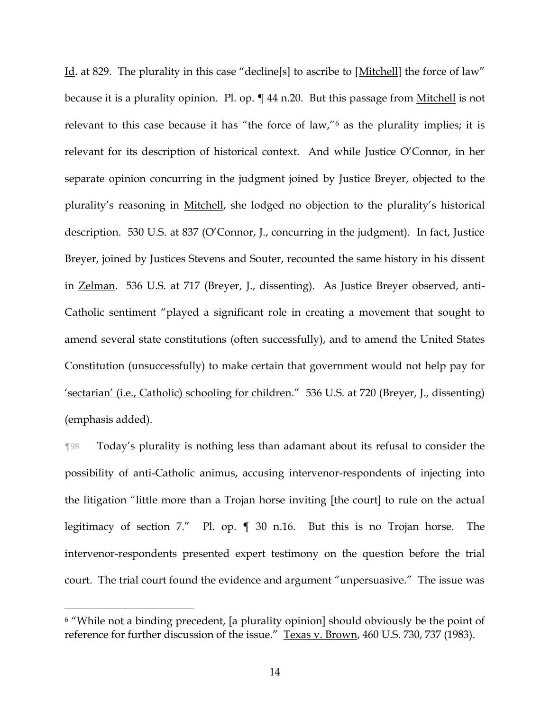Id. at 829. The plurality in this case "decline[s] to ascribe to [Mitchell] the force of law" because it is a plurality opinion. Pl. op.  $\P$  44 n.20. But this passage from Mitchell is not relevant to this case because it has "the force of law,"<sup>6</sup> as the plurality implies; it is relevant for its description of historical context. And while Justice O'Connor, in her separate opinion concurring in the judgment joined by Justice Breyer, objected to the plurality's reasoning in Mitchell, she lodged no objection to the plurality's historical description. 530 U.S. at 837 (O'Connor, J., concurring in the judgment). In fact, Justice Breyer, joined by Justices Stevens and Souter, recounted the same history in his dissent in Zelman. 536 U.S. at 717 (Breyer, J., dissenting). As Justice Breyer observed, anti-Catholic sentiment "played a significant role in creating a movement that sought to amend several state constitutions (often successfully), and to amend the United States Constitution (unsuccessfully) to make certain that government would not help pay for 'sectarian' (i.e., Catholic) schooling for children." 536 U.S. at 720 (Breyer, J., dissenting) (emphasis added).

¶98 Today's plurality is nothing less than adamant about its refusal to consider the possibility of anti-Catholic animus, accusing intervenor-respondents of injecting into the litigation "little more than a Trojan horse inviting [the court] to rule on the actual legitimacy of section 7." Pl. op. ¶ 30 n.16. But this is no Trojan horse. The intervenor-respondents presented expert testimony on the question before the trial court. The trial court found the evidence and argument "unpersuasive." The issue was

<sup>6</sup> "While not a binding precedent, [a plurality opinion] should obviously be the point of reference for further discussion of the issue." Texas v. Brown, 460 U.S. 730, 737 (1983).